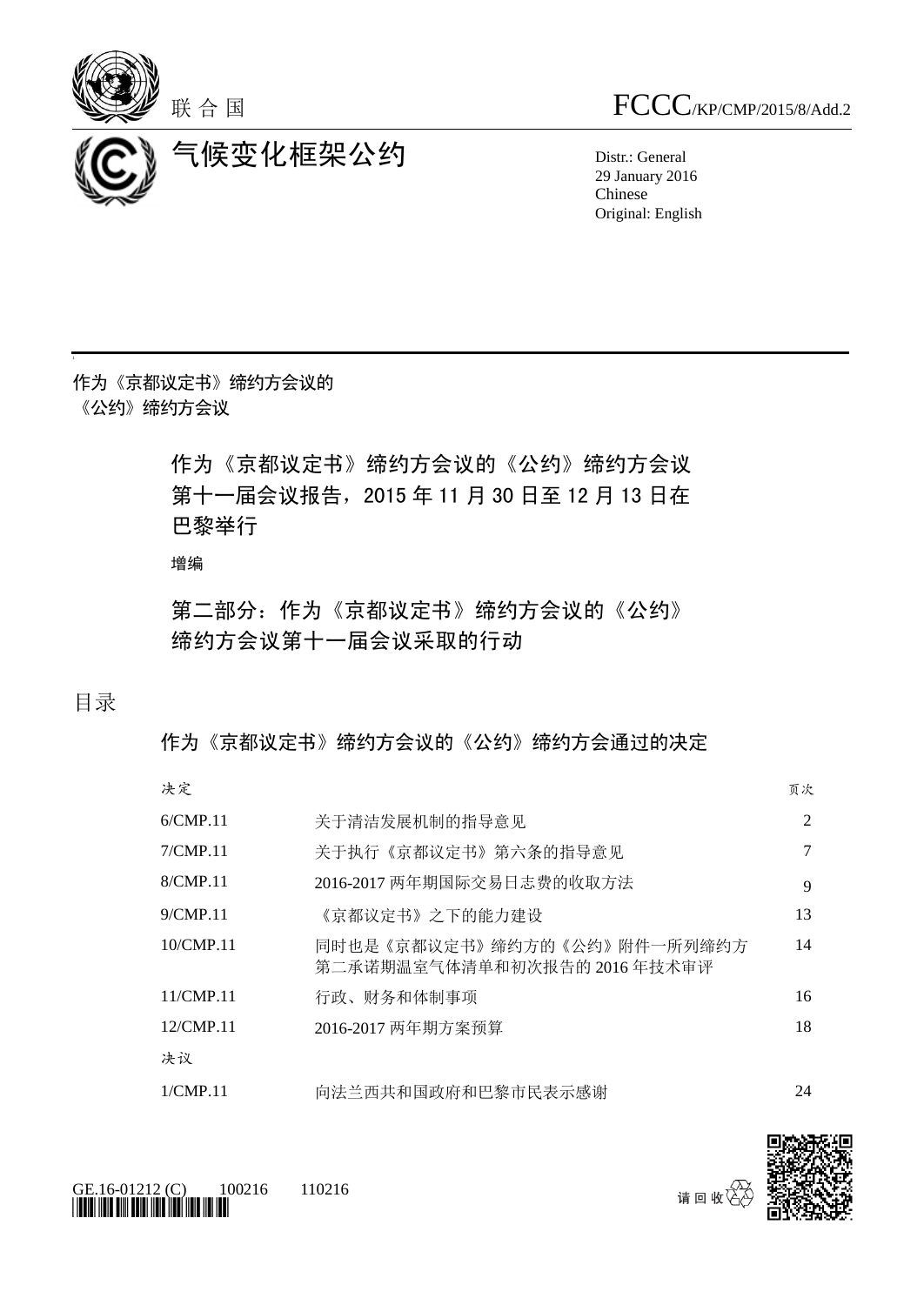



气候变化框架公约 Distr.: General

29 January 2016 Chinese Original: English

作为《京都议定书》缔约方会议的 《公约》缔约方会议

> 作为《京都议定书》缔约方会议的《公约》缔约方会议 第十一届会议报告,2015 年 11 月 30 日至 12 月 13 日在 巴黎举行

增编

第二部分:作为《京都议定书》缔约方会议的《公约》 缔约方会议第十一届会议采取的行动

目录

作为《京都议定书》缔约方会议的《公约》缔约方会通过的决定

决定 しょうしょう しょうしょう しゅうしょう しゅうしょう しゅうしゅん あいしゅう うちのみ かいしょう

| 6/CMP.11  | 关于清洁发展机制的指导意见                                              | 2  |
|-----------|------------------------------------------------------------|----|
| 7/CMP.11  | 关于执行《京都议定书》第六条的指导意见                                        | 7  |
| 8/CMP.11  | 2016-2017 两年期国际交易日志费的收取方法                                  | 9  |
| 9/CMP.11  | 《京都议定书》之下的能力建设                                             | 13 |
| 10/CMP.11 | 同时也是《京都议定书》缔约方的《公约》附件一所列缔约方<br>第二承诺期温室气体清单和初次报告的 2016年技术审评 | 14 |
| 11/CMP.11 | 行政、财务和体制事项                                                 | 16 |
| 12/CMP.11 | 2016-2017 两年期方案预算                                          | 18 |
| 决议        |                                                            |    |
| 1/CMP.11  | 向法兰西共和国政府和巴黎市民表示感谢                                         | 24 |





请回收

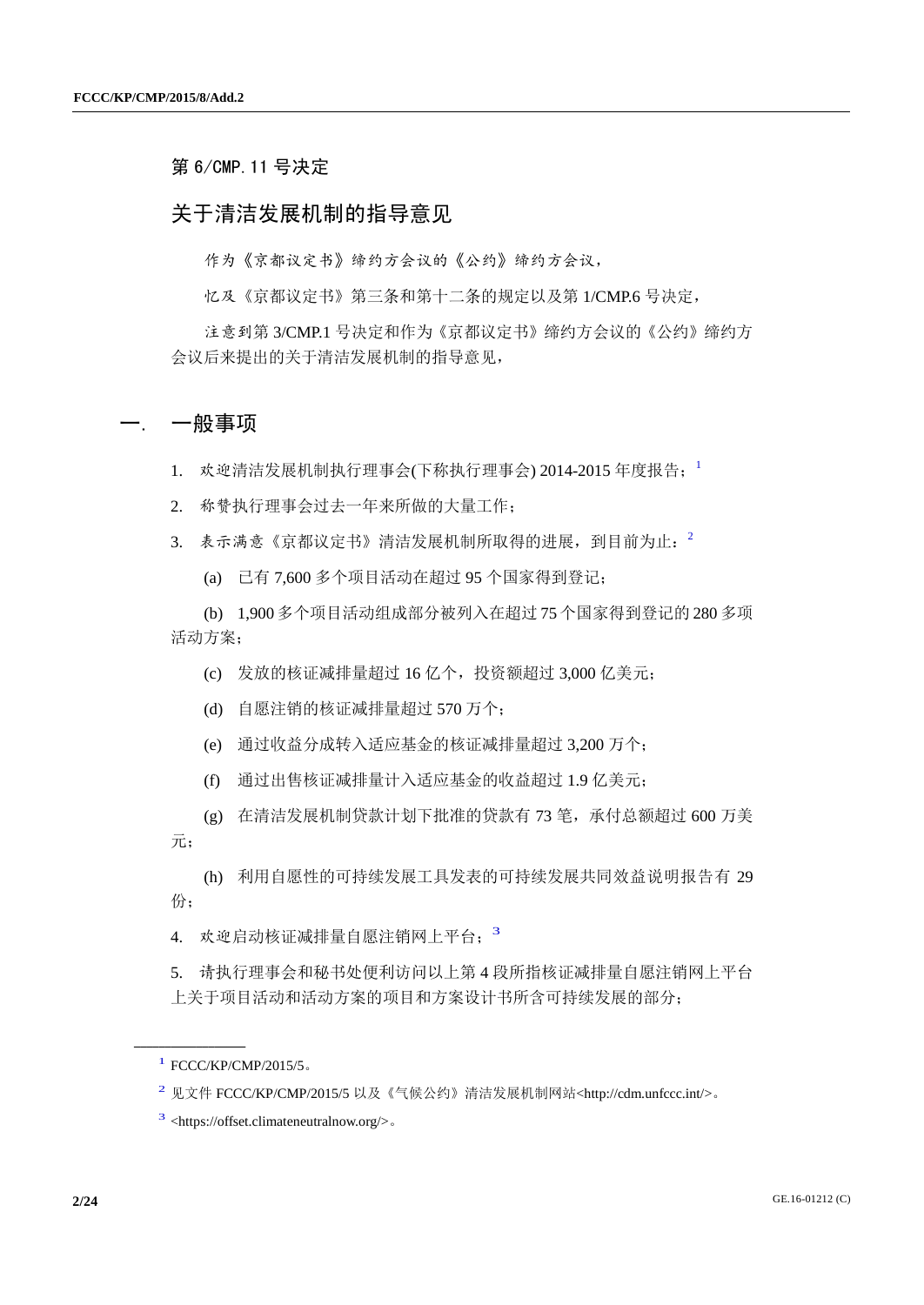第 6/CMP.11 号决定

### 关于清洁发展机制的指导意见

作为《京都议定书》缔约方会议的《公约》缔约方会议,

忆及《京都议定书》第三条和第十二条的规定以及第 1/CMP.6 号决定,

注意到第 3/CMP.1 号决定和作为《京都议定书》缔约方会议的《公约》缔约方 会议后来提出的关于清洁发展机制的指导意见,

#### 一. 一般事项

1. 欢迎清洁发展机制执行理事会(下称执行理事会) 2014-2015 年度报告; 1

2. 称赞执行理事会过去一年来所做的大量工作;

3. 表示满意《京都议定书》清洁发展机制所取得的进展,到目前为止: 2

(a) 已有 7,600 多个项目活动在超过 95 个国家得到登记;

(b) 1,900 多个项目活动组成部分被列入在超过 75 个国家得到登记的 280 多项 活动方案;

(c) 发放的核证减排量超过 16 亿个,投资额超过 3,000 亿美元;

(d) 自愿注销的核证减排量超过 570 万个;

(e) 通过收益分成转入适应基金的核证减排量超过 3,200 万个;

(f) 通过出售核证减排量计入适应基金的收益超过 1.9 亿美元;

(g) 在清洁发展机制贷款计划下批准的贷款有 73 笔,承付总额超过 600 万美 元;

(h) 利用自愿性的可持续发展工具发表的可持续发展共同效益说明报告有 29 份;

4. 欢迎启动核证减排量自愿注销网上平台; 3

5. 请执行理事会和秘书处便利访问以上第 4 段所指核证减排量自愿注销网上平台 上关于项目活动和活动方案的项目和方案设计书所含可持续发展的部分;

<sup>1</sup> FCCC/KP/CMP/2015/5。

<sup>2</sup> 见文件 FCCC/KP/CMP/2015/5 以及《气候公约》清洁发展机制网站<http://cdm.unfccc.int/>。

<sup>3</sup> <https://offset.climateneutralnow.org/>。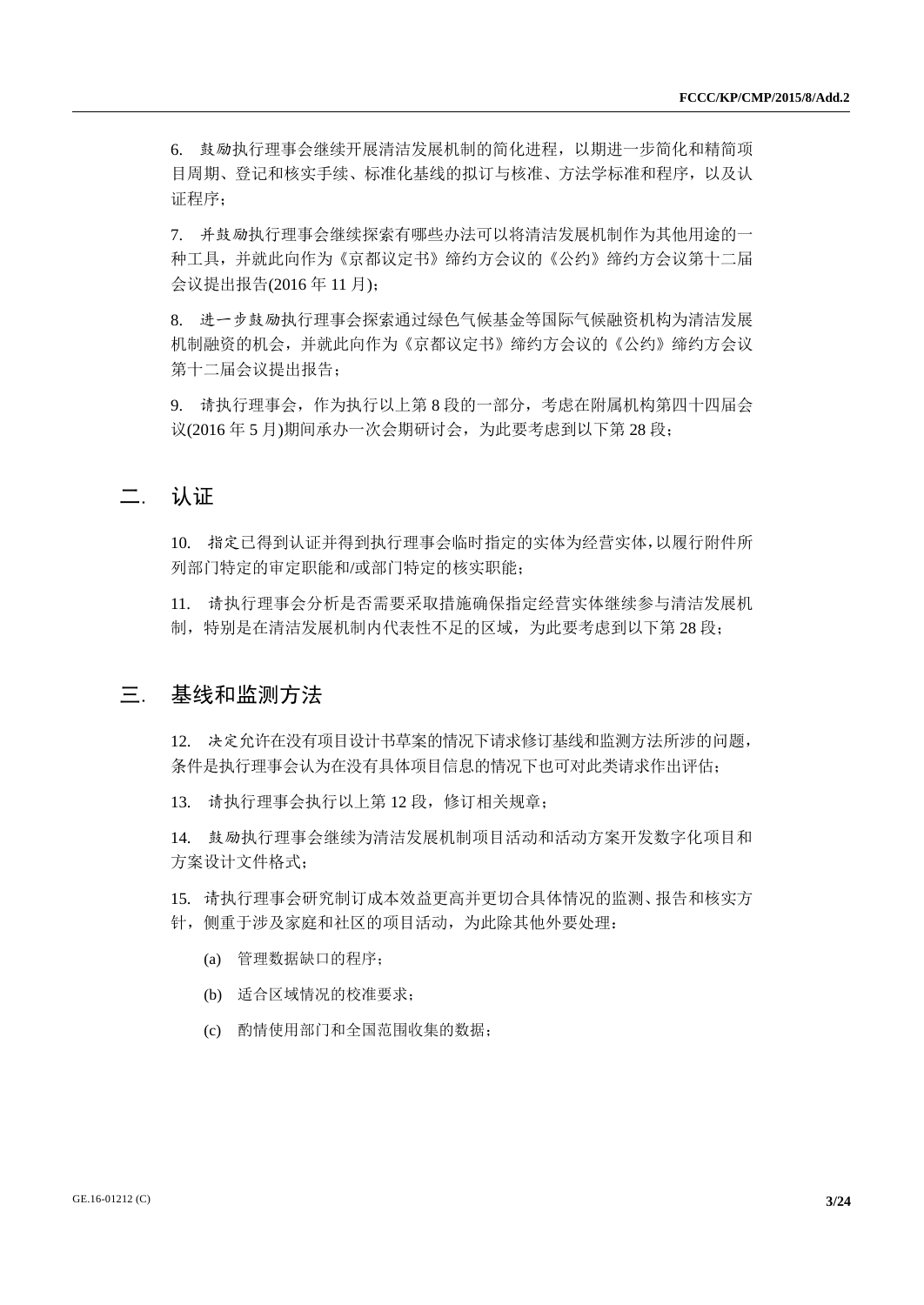6. 鼓励执行理事会继续开展清洁发展机制的简化进程,以期进一步简化和精简项 目周期、登记和核实手续、标准化基线的拟订与核准、方法学标准和程序,以及认 证程序;

7. 并鼓励执行理事会继续探索有哪些办法可以将清洁发展机制作为其他用途的一 种工具,并就此向作为《京都议定书》缔约方会议的《公约》缔约方会议第十二届 会议提出报告(2016 年 11 月);

8. 进一步鼓励执行理事会探索通过绿色气候基金等国际气候融资机构为清洁发展 机制融资的机会,并就此向作为《京都议定书》缔约方会议的《公约》缔约方会议 第十二届会议提出报告;

9. 请执行理事会,作为执行以上第 8 段的一部分,考虑在附属机构第四十四届会 议(2016 年 5 月)期间承办一次会期研讨会,为此要考虑到以下第 28 段;

## 二. 认证

10. 指定已得到认证并得到执行理事会临时指定的实体为经营实体,以履行附件所 列部门特定的审定职能和/或部门特定的核实职能;

11. 请执行理事会分析是否需要采取措施确保指定经营实体继续参与清洁发展机 制,特别是在清洁发展机制内代表性不足的区域,为此要考虑到以下第 28 段;

### 三. 基线和监测方法

12. 决定允许在没有项目设计书草案的情况下请求修订基线和监测方法所涉的问题, 条件是执行理事会认为在没有具体项目信息的情况下也可对此类请求作出评估;

13. 请执行理事会执行以上第 12 段,修订相关规章;

14. 鼓励执行理事会继续为清洁发展机制项目活动和活动方案开发数字化项目和 方案设计文件格式;

15. 请执行理事会研究制订成本效益更高并更切合具体情况的监测、报告和核实方 针,侧重于涉及家庭和社区的项目活动,为此除其他外要处理:

- (a) 管理数据缺口的程序;
- (b) 适合区域情况的校准要求;
- (c) 酌情使用部门和全国范围收集的数据;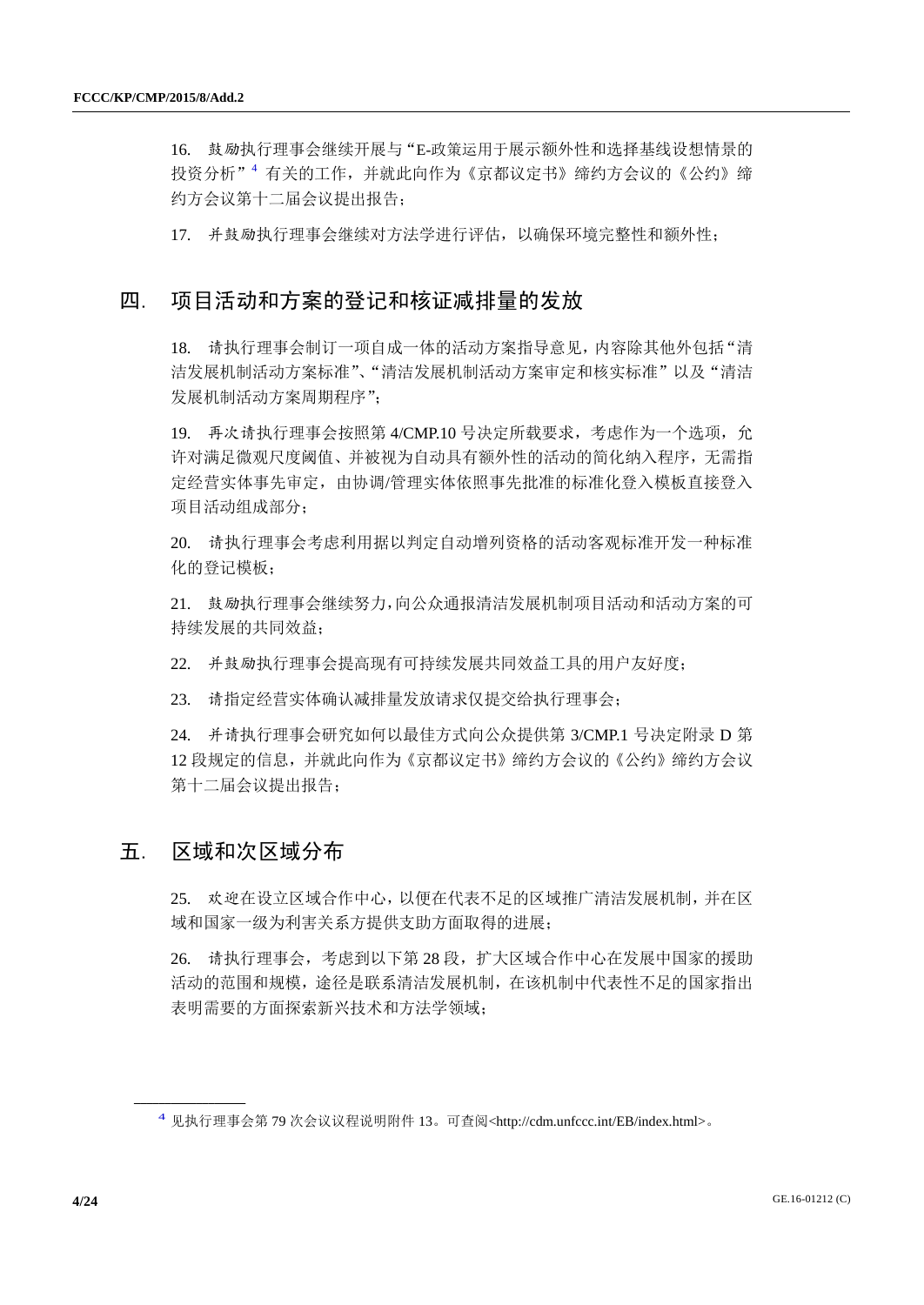16. 鼓励执行理事会继续开展与"E-政策运用于展示额外性和选择基线设想情景的 投资分析"<sup>4</sup> 有关的工作,并就此向作为《京都议定书》缔约方会议的《公约》缔 约方会议第十二届会议提出报告;

17. 并鼓励执行理事会继续对方法学进行评估,以确保环境完整性和额外性;

### 四. 项目活动和方案的登记和核证减排量的发放

18. 请执行理事会制订一项自成一体的活动方案指导意见,内容除其他外包括"清 洁发展机制活动方案标准"、"清洁发展机制活动方案审定和核实标准"以及"清洁 发展机制活动方案周期程序";

19. 再次请执行理事会按照第 4/CMP.10 号决定所载要求,考虑作为一个选项, 允 许对满足微观尺度阈值、并被视为自动具有额外性的活动的简化纳入程序,无需指 定经营实体事先审定,由协调/管理实体依照事先批准的标准化登入模板直接登入 项目活动组成部分;

20. 请执行理事会考虑利用据以判定自动增列资格的活动客观标准开发一种标准 化的登记模板;

21. 鼓励执行理事会继续努力,向公众通报清洁发展机制项目活动和活动方案的可 持续发展的共同效益;

22. 并鼓励执行理事会提高现有可持续发展共同效益工具的用户友好度;

23. 请指定经营实体确认减排量发放请求仅提交给执行理事会;

24. 并请执行理事会研究如何以最佳方式向公众提供第 3/CMP.1 号决定附录 D 第 12 段规定的信息,并就此向作为《京都议定书》缔约方会议的《公约》缔约方会议 第十二届会议提出报告;

### 五. 区域和次区域分布

**\_\_\_\_\_\_\_\_\_\_\_\_\_\_\_\_\_\_**

25. 欢迎在设立区域合作中心,以便在代表不足的区域推广清洁发展机制,并在区 域和国家一级为利害关系方提供支助方面取得的进展;

26. 请执行理事会,考虑到以下第 28 段,扩大区域合作中心在发展中国家的援助 活动的范围和规模,途径是联系清洁发展机制,在该机制中代表性不足的国家指出 表明需要的方面探索新兴技术和方法学领域;

<sup>4</sup> 见执行理事会第 <sup>79</sup> 次会议议程说明附件 <sup>13</sup>。可查阅<http://cdm.unfccc.int/EB/index.html>。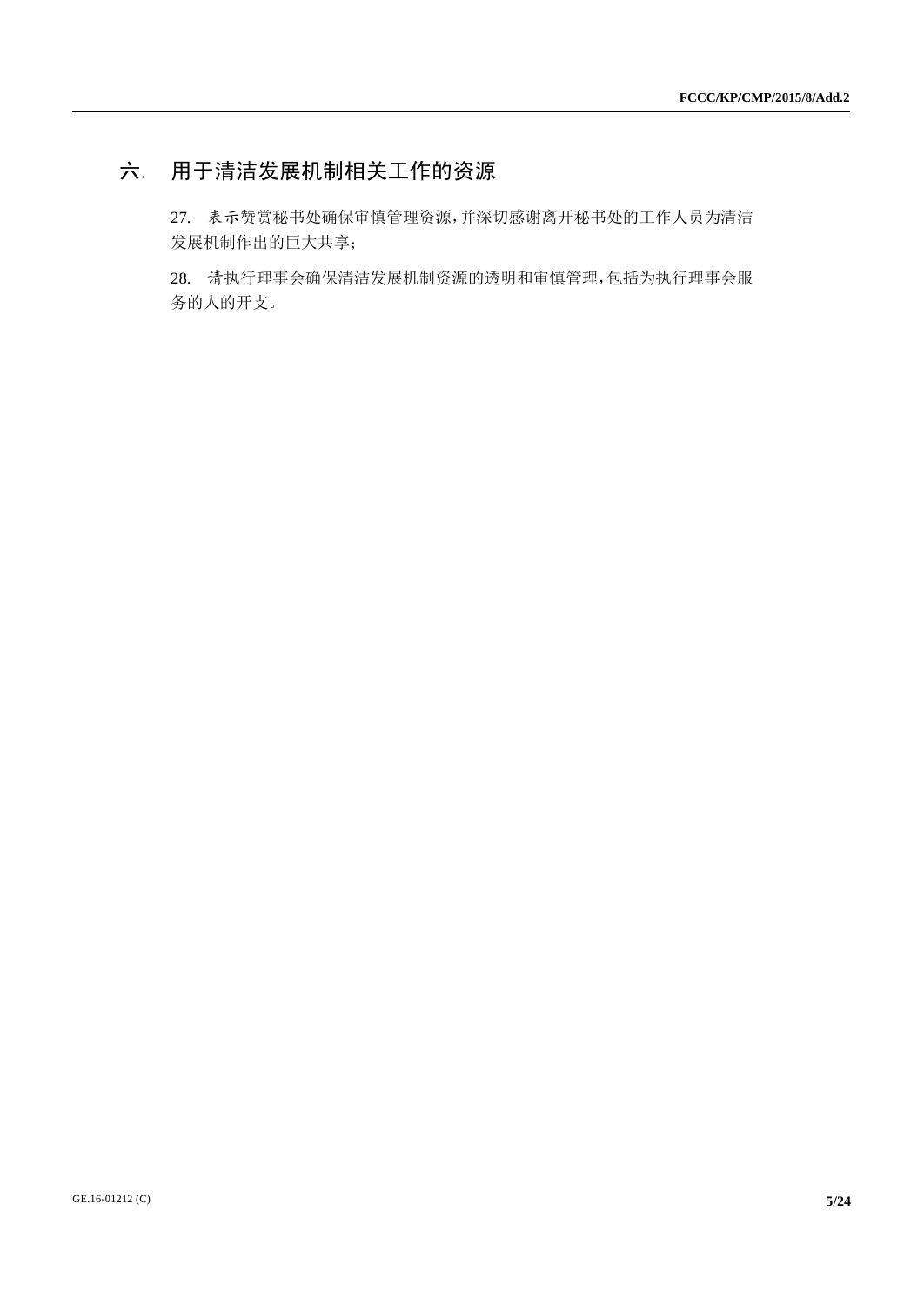# 六. 用于清洁发展机制相关工作的资源

27. 表示赞赏秘书处确保审慎管理资源,并深切感谢离开秘书处的工作人员为清洁 发展机制作出的巨大共享;

28. 请执行理事会确保清洁发展机制资源的透明和审慎管理,包括为执行理事会服 务的人的开支。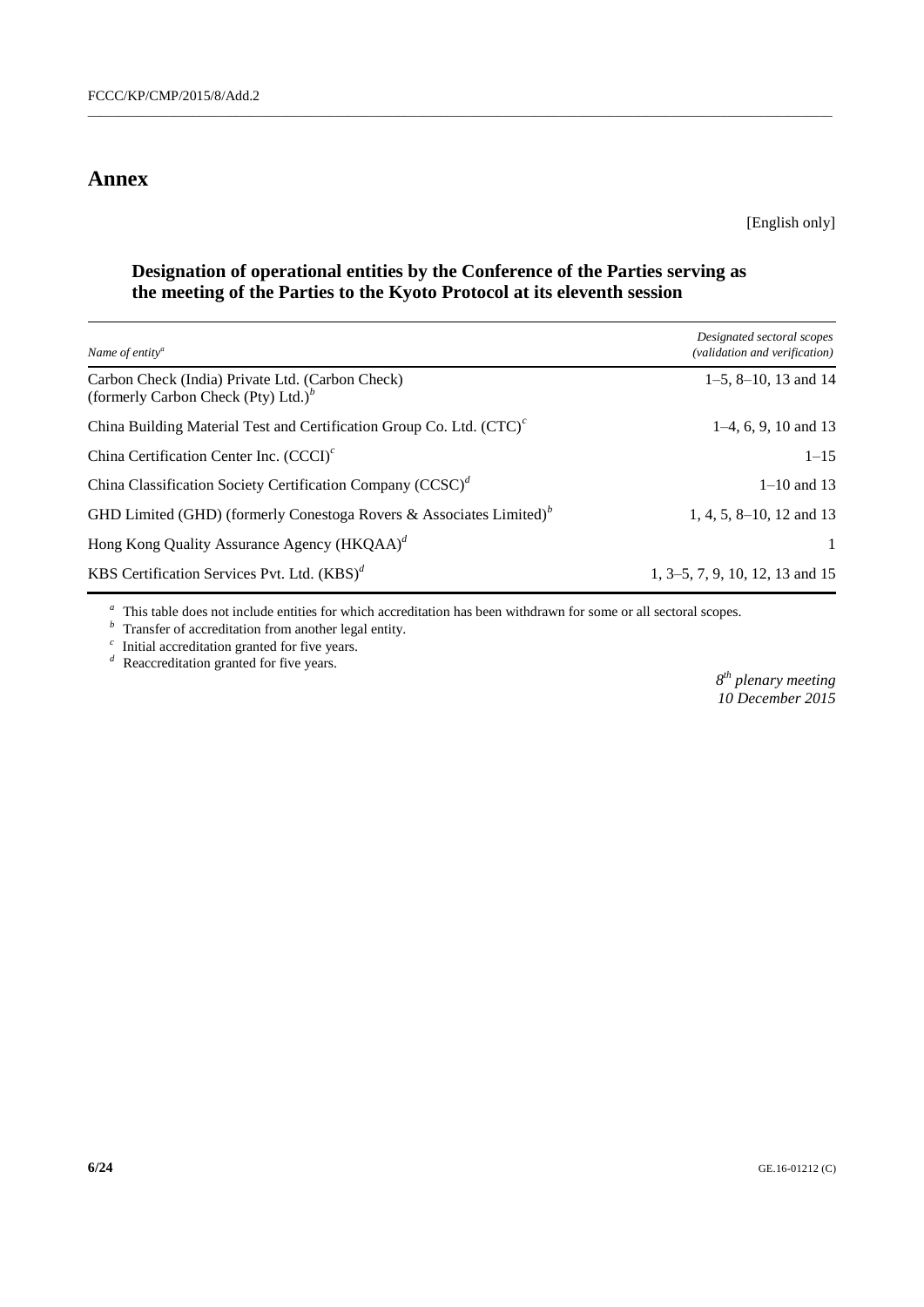### **Annex**

[English only]

### **Designation of operational entities by the Conference of the Parties serving as the meeting of the Parties to the Kyoto Protocol at its eleventh session**

 $\_$  , and the set of the set of the set of the set of the set of the set of the set of the set of the set of the set of the set of the set of the set of the set of the set of the set of the set of the set of the set of th

| Name of entity <sup>a</sup>                                                                 | Designated sectoral scopes<br>(validation and verification) |
|---------------------------------------------------------------------------------------------|-------------------------------------------------------------|
| Carbon Check (India) Private Ltd. (Carbon Check)<br>(formerly Carbon Check (Pty) Ltd.) $^b$ | $1-5$ , $8-10$ , 13 and 14                                  |
| China Building Material Test and Certification Group Co. Ltd. (CTC) <sup>c</sup>            | $1-4, 6, 9, 10$ and 13                                      |
| China Certification Center Inc. $(CCCI)^c$                                                  | $1 - 15$                                                    |
| China Classification Society Certification Company $(CCSC)^d$                               | $1 - 10$ and 13                                             |
| GHD Limited (GHD) (formerly Conestoga Rovers & Associates Limited) <sup>b</sup>             | 1, 4, 5, 8–10, 12 and 13                                    |
| Hong Kong Quality Assurance Agency (HKQAA) <sup>d</sup>                                     |                                                             |
| KBS Certification Services Pvt. Ltd. $(KBS)^d$                                              | 1, 3–5, 7, 9, 10, 12, 13 and 15                             |

<sup>a</sup> This table does not include entities for which accreditation has been withdrawn for some or all sectoral scopes.

*b*Transfer of accreditation from another legal entity.

 $\frac{c}{c}$  Initial accreditation granted for five years.

*d* Reaccreditation granted for five years.

*8 th plenary meeting 10 December 2015*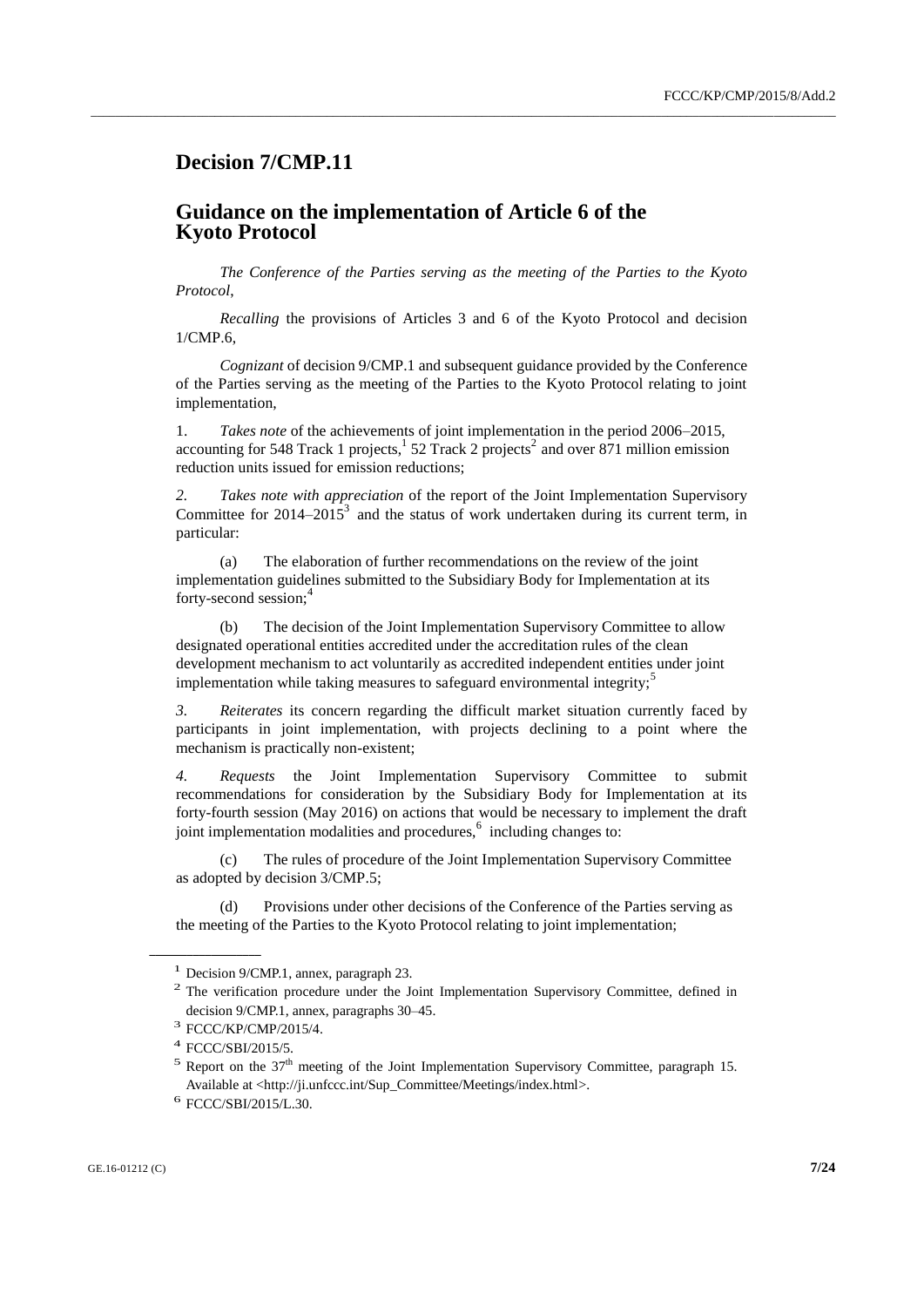### **Decision 7/CMP.11**

#### **Guidance on the implementation of Article 6 of the Kyoto Protocol**

*The Conference of the Parties serving as the meeting of the Parties to the Kyoto Protocol*,

\_\_\_\_\_\_\_\_\_\_\_\_\_\_\_\_\_\_\_\_\_\_\_\_\_\_\_\_\_\_\_\_\_\_\_\_\_\_\_\_\_\_\_\_\_\_\_\_\_\_\_\_\_\_\_\_\_\_\_\_\_\_\_\_\_\_\_\_\_\_\_\_\_\_\_\_\_\_\_\_\_\_\_\_\_\_\_\_\_\_\_\_\_\_\_\_\_\_\_\_\_\_\_\_\_\_\_\_\_\_\_\_\_\_\_\_\_\_\_\_

*Recalling* the provisions of Articles 3 and 6 of the Kyoto Protocol and decision 1/CMP.6,

*Cognizant* of decision 9/CMP.1 and subsequent guidance provided by the Conference of the Parties serving as the meeting of the Parties to the Kyoto Protocol relating to joint implementation,

1. *Takes note* of the achievements of joint implementation in the period 2006–2015, accounting for 548 Track 1 projects,  $\frac{1}{2}$  52 Track 2 projects<sup>2</sup> and over 871 million emission reduction units issued for emission reductions;

*2. Takes note with appreciation* of the report of the Joint Implementation Supervisory Committee for 2014–2015<sup>3</sup> and the status of work undertaken during its current term, in particular:

(a) The elaboration of further recommendations on the review of the joint implementation guidelines submitted to the Subsidiary Body for Implementation at its forty-second session;<sup>4</sup>

(b) The decision of the Joint Implementation Supervisory Committee to allow designated operational entities accredited under the accreditation rules of the clean development mechanism to act voluntarily as accredited independent entities under joint implementation while taking measures to safeguard environmental integrity;<sup>5</sup>

*3. Reiterates* its concern regarding the difficult market situation currently faced by participants in joint implementation, with projects declining to a point where the mechanism is practically non-existent;

*4. Requests* the Joint Implementation Supervisory Committee to submit recommendations for consideration by the Subsidiary Body for Implementation at its forty-fourth session (May 2016) on actions that would be necessary to implement the draft joint implementation modalities and procedures, <sup>6</sup> including changes to:

(c) The rules of procedure of the Joint Implementation Supervisory Committee as adopted by decision 3/CMP.5;

(d) Provisions under other decisions of the Conference of the Parties serving as the meeting of the Parties to the Kyoto Protocol relating to joint implementation;

<sup>1</sup> Decision 9/CMP.1, annex, paragraph 23.

<sup>&</sup>lt;sup>2</sup> The verification procedure under the Joint Implementation Supervisory Committee, defined in decision 9/CMP.1, annex, paragraphs 30–45.

<sup>3</sup> FCCC/KP/CMP/2015/4.

<sup>4</sup> FCCC/SBI/2015/5.

<sup>&</sup>lt;sup>5</sup> Report on the  $37<sup>th</sup>$  meeting of the Joint Implementation Supervisory Committee, paragraph 15. Available at <http://ji.unfccc.int/Sup\_Committee/Meetings/index.html>.

<sup>6</sup> FCCC/SBI/2015/L.30.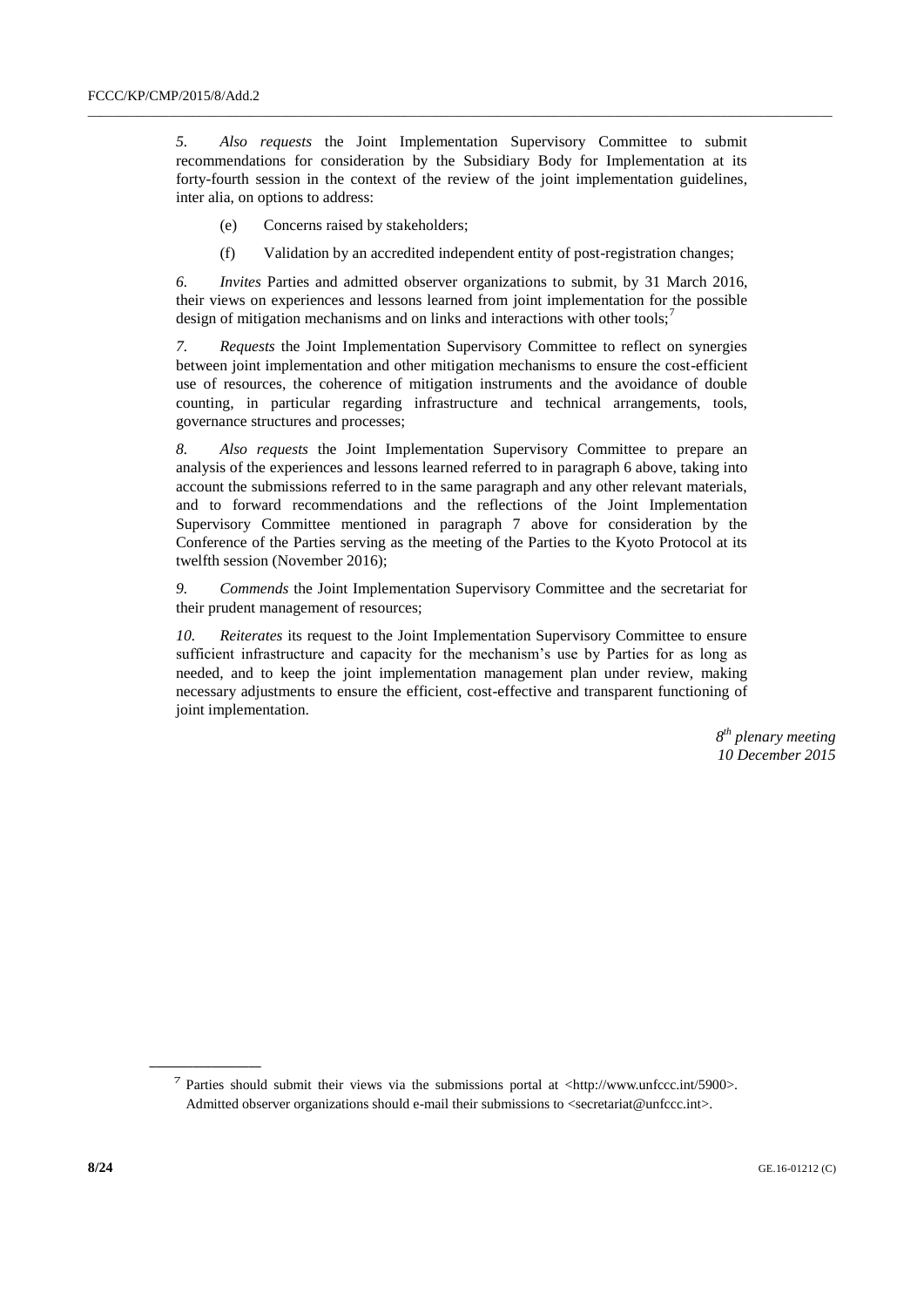*5. Also requests* the Joint Implementation Supervisory Committee to submit recommendations for consideration by the Subsidiary Body for Implementation at its forty-fourth session in the context of the review of the joint implementation guidelines, inter alia, on options to address:

 $\_$  , and the set of the set of the set of the set of the set of the set of the set of the set of the set of the set of the set of the set of the set of the set of the set of the set of the set of the set of the set of th

- (e) Concerns raised by stakeholders;
- (f) Validation by an accredited independent entity of post-registration changes;

*6. Invites* Parties and admitted observer organizations to submit, by 31 March 2016, their views on experiences and lessons learned from joint implementation for the possible design of mitigation mechanisms and on links and interactions with other tools;<sup>7</sup>

*7. Requests* the Joint Implementation Supervisory Committee to reflect on synergies between joint implementation and other mitigation mechanisms to ensure the cost-efficient use of resources, the coherence of mitigation instruments and the avoidance of double counting, in particular regarding infrastructure and technical arrangements, tools, governance structures and processes;

*8. Also requests* the Joint Implementation Supervisory Committee to prepare an analysis of the experiences and lessons learned referred to in paragraph 6 above, taking into account the submissions referred to in the same paragraph and any other relevant materials, and to forward recommendations and the reflections of the Joint Implementation Supervisory Committee mentioned in paragraph 7 above for consideration by the Conference of the Parties serving as the meeting of the Parties to the Kyoto Protocol at its twelfth session (November 2016);

*9. Commends* the Joint Implementation Supervisory Committee and the secretariat for their prudent management of resources;

*10. Reiterates* its request to the Joint Implementation Supervisory Committee to ensure sufficient infrastructure and capacity for the mechanism's use by Parties for as long as needed, and to keep the joint implementation management plan under review, making necessary adjustments to ensure the efficient, cost-effective and transparent functioning of joint implementation.

> *8 th plenary meeting 10 December 2015*

<sup>&</sup>lt;sup>7</sup> Parties should submit their views via the submissions portal at <http://www.unfccc.int/5900>. Admitted observer organizations should e-mail their submissions to <secretariat@unfccc.int>.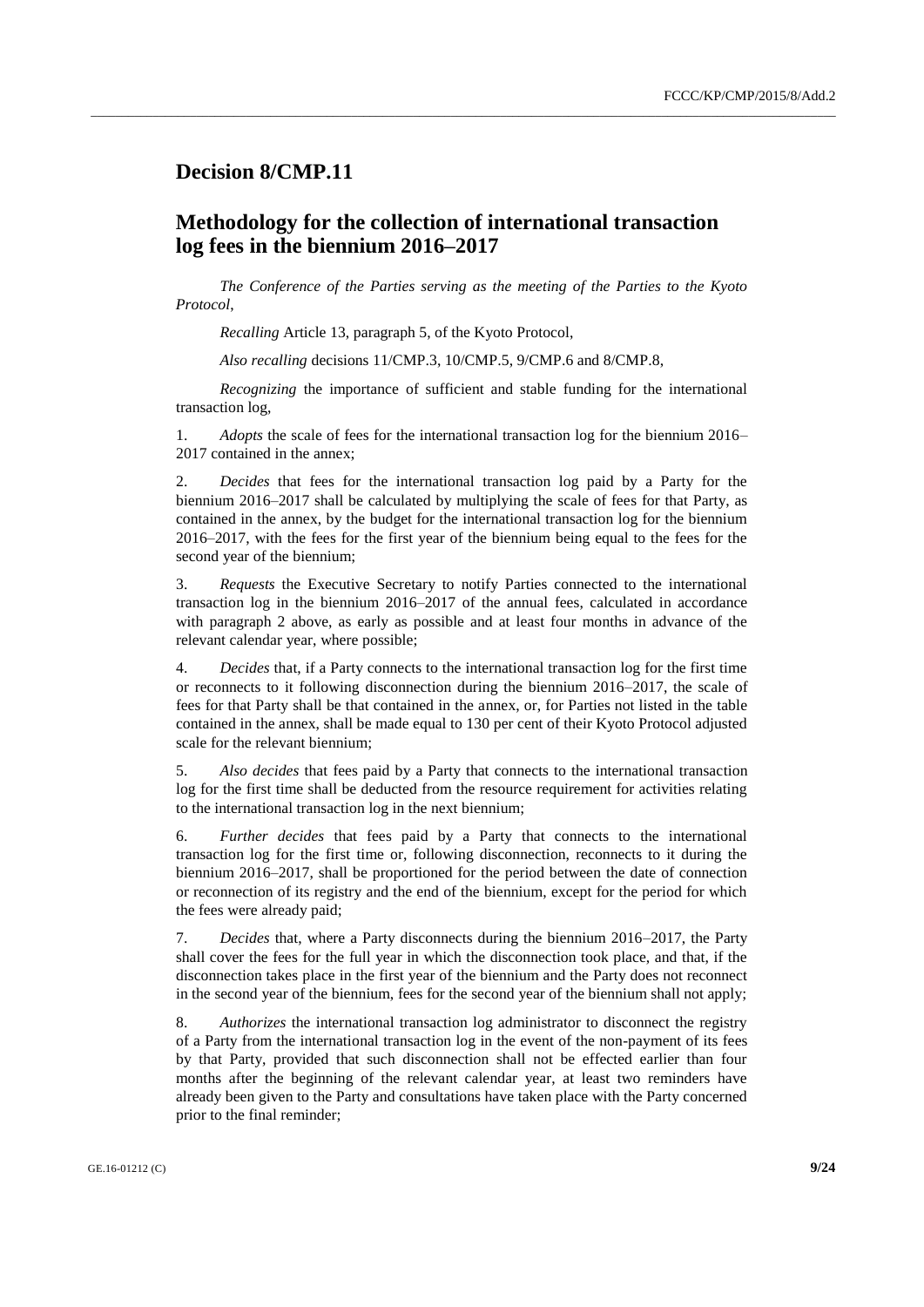#### **Decision 8/CMP.11**

### **Methodology for the collection of international transaction log fees in the biennium 2016–2017**

*The Conference of the Parties serving as the meeting of the Parties to the Kyoto Protocol*,

\_\_\_\_\_\_\_\_\_\_\_\_\_\_\_\_\_\_\_\_\_\_\_\_\_\_\_\_\_\_\_\_\_\_\_\_\_\_\_\_\_\_\_\_\_\_\_\_\_\_\_\_\_\_\_\_\_\_\_\_\_\_\_\_\_\_\_\_\_\_\_\_\_\_\_\_\_\_\_\_\_\_\_\_\_\_\_\_\_\_\_\_\_\_\_\_\_\_\_\_\_\_\_\_\_\_\_\_\_\_\_\_\_\_\_\_\_\_\_\_

*Recalling* Article 13, paragraph 5, of the Kyoto Protocol,

*Also recalling* decisions 11/CMP.3, 10/CMP.5, 9/CMP.6 and 8/CMP.8,

*Recognizing* the importance of sufficient and stable funding for the international transaction log,

1. *Adopts* the scale of fees for the international transaction log for the biennium 2016– 2017 contained in the annex;

2. *Decides* that fees for the international transaction log paid by a Party for the biennium 2016–2017 shall be calculated by multiplying the scale of fees for that Party, as contained in the annex, by the budget for the international transaction log for the biennium 2016–2017, with the fees for the first year of the biennium being equal to the fees for the second year of the biennium;

3. *Requests* the Executive Secretary to notify Parties connected to the international transaction log in the biennium 2016–2017 of the annual fees, calculated in accordance with paragraph 2 above, as early as possible and at least four months in advance of the relevant calendar year, where possible;

4. *Decides* that, if a Party connects to the international transaction log for the first time or reconnects to it following disconnection during the biennium 2016–2017, the scale of fees for that Party shall be that contained in the annex, or, for Parties not listed in the table contained in the annex, shall be made equal to 130 per cent of their Kyoto Protocol adjusted scale for the relevant biennium;

5. *Also decides* that fees paid by a Party that connects to the international transaction log for the first time shall be deducted from the resource requirement for activities relating to the international transaction log in the next biennium;

6. *Further decides* that fees paid by a Party that connects to the international transaction log for the first time or, following disconnection, reconnects to it during the biennium 2016–2017, shall be proportioned for the period between the date of connection or reconnection of its registry and the end of the biennium, except for the period for which the fees were already paid;

7. *Decides* that, where a Party disconnects during the biennium 2016–2017, the Party shall cover the fees for the full year in which the disconnection took place, and that, if the disconnection takes place in the first year of the biennium and the Party does not reconnect in the second year of the biennium, fees for the second year of the biennium shall not apply;

8. *Authorizes* the international transaction log administrator to disconnect the registry of a Party from the international transaction log in the event of the non-payment of its fees by that Party, provided that such disconnection shall not be effected earlier than four months after the beginning of the relevant calendar year, at least two reminders have already been given to the Party and consultations have taken place with the Party concerned prior to the final reminder;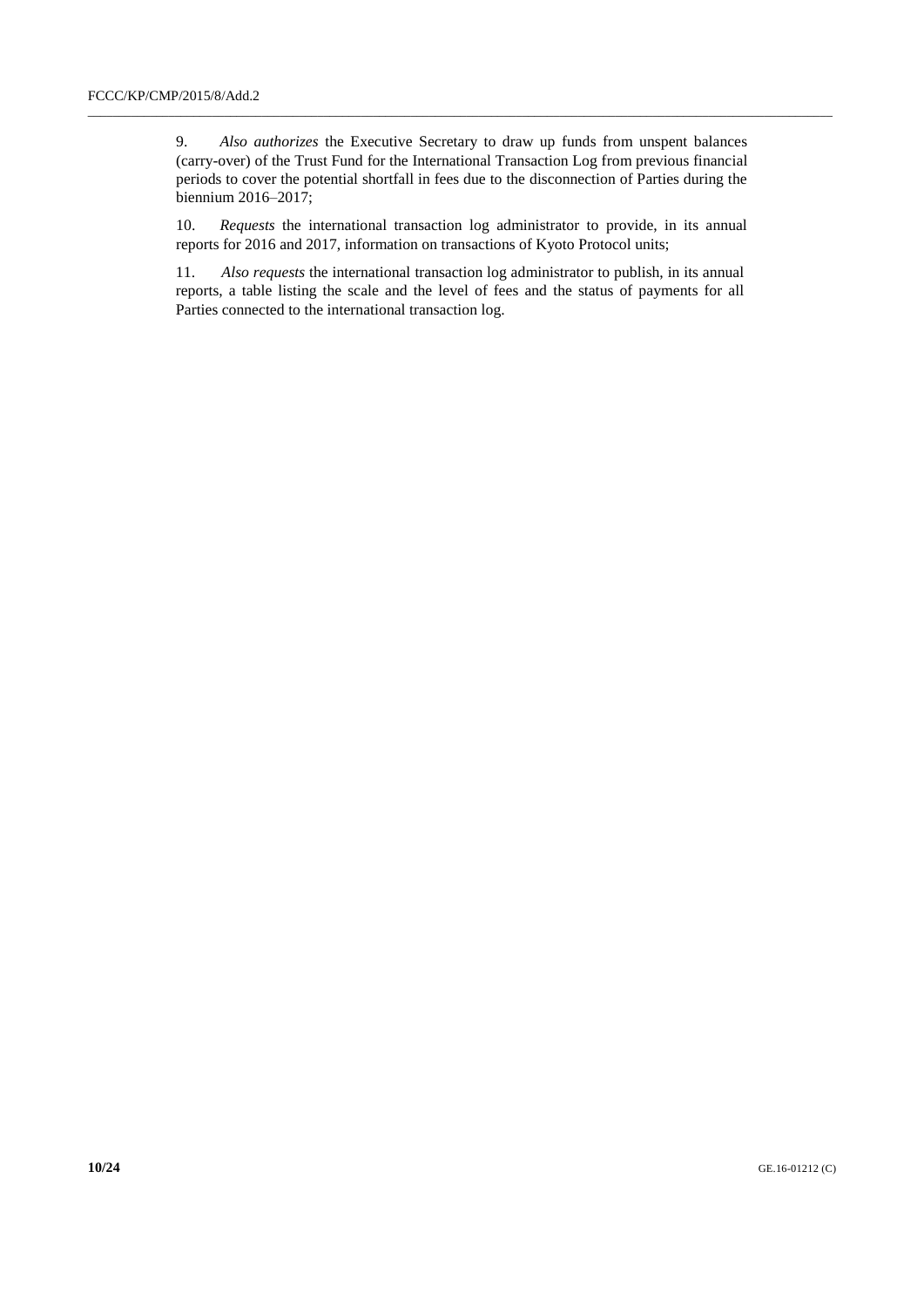9. *Also authorizes* the Executive Secretary to draw up funds from unspent balances (carry-over) of the Trust Fund for the International Transaction Log from previous financial periods to cover the potential shortfall in fees due to the disconnection of Parties during the biennium 2016–2017;

\_\_\_\_\_\_\_\_\_\_\_\_\_\_\_\_\_\_\_\_\_\_\_\_\_\_\_\_\_\_\_\_\_\_\_\_\_\_\_\_\_\_\_\_\_\_\_\_\_\_\_\_\_\_\_\_\_\_\_\_\_\_\_\_\_\_\_\_\_\_\_\_\_\_\_\_\_\_\_\_\_\_\_\_\_\_\_\_\_\_\_\_\_\_\_\_\_\_\_\_\_\_\_\_\_\_\_\_\_\_\_\_\_\_\_\_\_\_\_\_

10. *Requests* the international transaction log administrator to provide, in its annual reports for 2016 and 2017, information on transactions of Kyoto Protocol units;

11. *Also requests* the international transaction log administrator to publish, in its annual reports, a table listing the scale and the level of fees and the status of payments for all Parties connected to the international transaction log.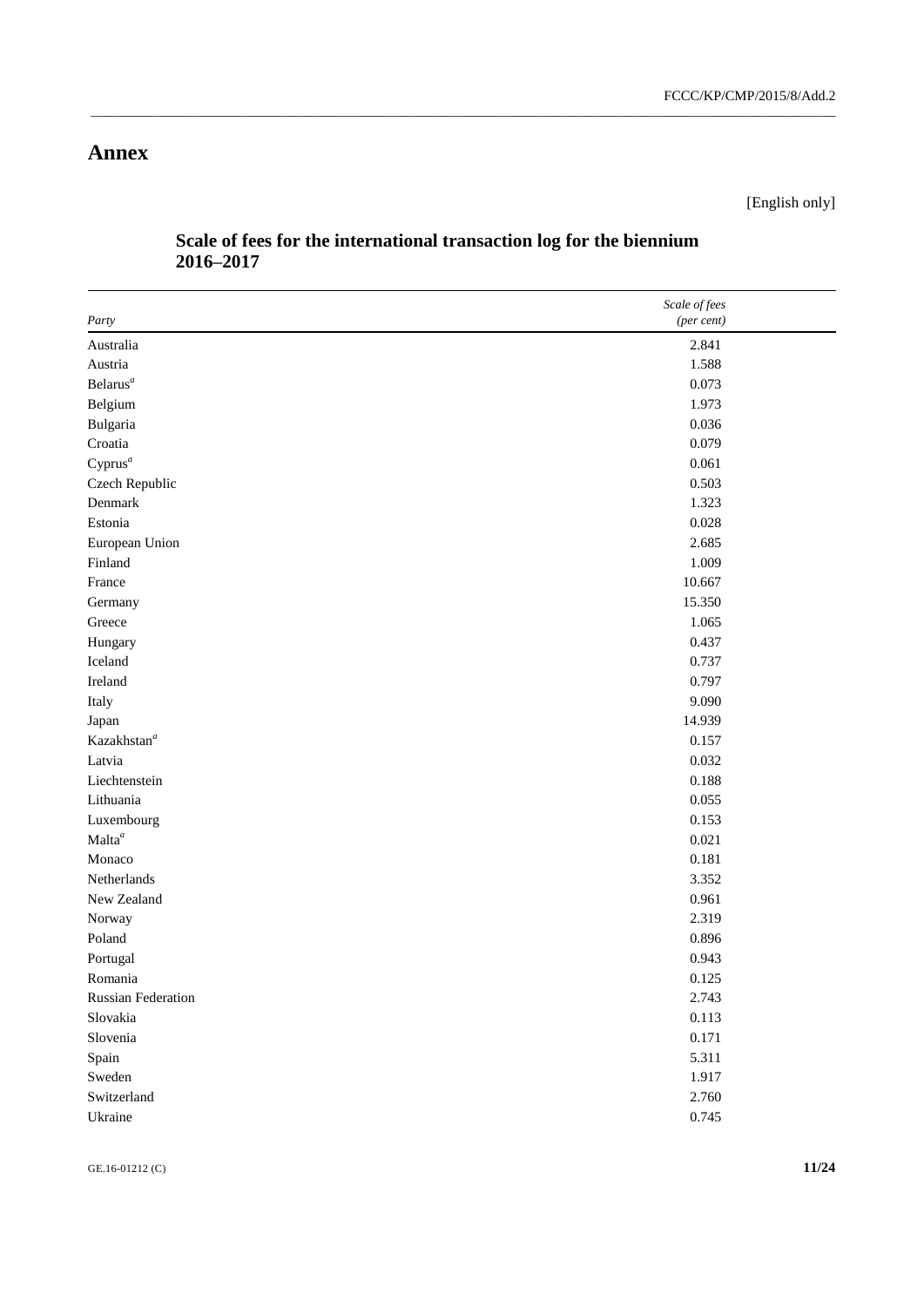# **Annex**

[English only]

|                           | Scale of fees |
|---------------------------|---------------|
| Party                     | (per cent)    |
| Australia                 | 2.841         |
| Austria                   | 1.588         |
| Belarus <sup>a</sup>      | 0.073         |
| Belgium                   | 1.973         |
| Bulgaria                  | 0.036         |
| Croatia                   | 0.079         |
| $Cyprus^a$                | 0.061         |
| Czech Republic            | 0.503         |
| Denmark                   | 1.323         |
| Estonia                   | 0.028         |
| European Union            | 2.685         |
| Finland                   | 1.009         |
| France                    | 10.667        |
| Germany                   | 15.350        |
| Greece                    | 1.065         |
| Hungary                   | 0.437         |
| Iceland                   | 0.737         |
| Ireland                   | 0.797         |
| Italy                     | 9.090         |
| Japan                     | 14.939        |
| Kazakhstan <sup>a</sup>   | 0.157         |
| Latvia                    | 0.032         |
| Liechtenstein             | 0.188         |
| Lithuania                 | 0.055         |
| Luxembourg                | 0.153         |
| Malta <sup>a</sup>        | 0.021         |
| Monaco                    | 0.181         |
| Netherlands               | 3.352         |
| New Zealand               | 0.961         |
| Norway                    | 2.319         |
| Poland                    | 0.896         |
| Portugal                  | 0.943         |
| Romania                   | 0.125         |
| <b>Russian Federation</b> | 2.743         |
| Slovakia                  | 0.113         |
| Slovenia                  | 0.171         |
| Spain                     | 5.311         |
| Sweden                    | 1.917         |
| Switzerland               | 2.760         |
| Ukraine                   | 0.745         |

## **Scale of fees for the international transaction log for the biennium 2016–2017**

\_\_\_\_\_\_\_\_\_\_\_\_\_\_\_\_\_\_\_\_\_\_\_\_\_\_\_\_\_\_\_\_\_\_\_\_\_\_\_\_\_\_\_\_\_\_\_\_\_\_\_\_\_\_\_\_\_\_\_\_\_\_\_\_\_\_\_\_\_\_\_\_\_\_\_\_\_\_\_\_\_\_\_\_\_\_\_\_\_\_\_\_\_\_\_\_\_\_\_\_\_\_\_\_\_\_\_\_\_\_\_\_\_\_\_\_\_\_\_\_

GE.16-01212 (C) **11/24**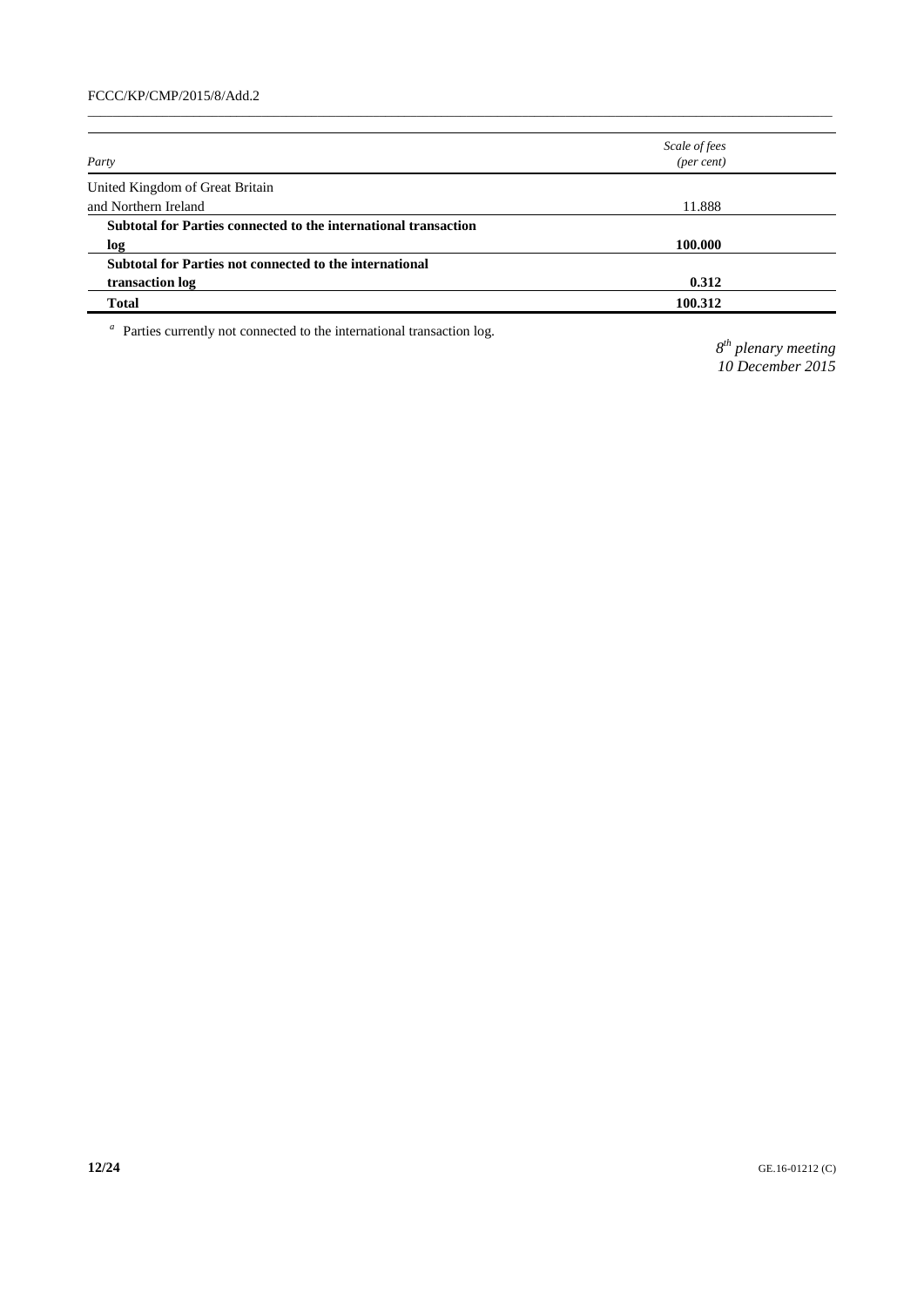|                                                                 | Scale of fees       |  |
|-----------------------------------------------------------------|---------------------|--|
| Party                                                           | $(\text{per cent})$ |  |
| United Kingdom of Great Britain                                 |                     |  |
| and Northern Ireland                                            | 11.888              |  |
| Subtotal for Parties connected to the international transaction |                     |  |
| log                                                             | 100.000             |  |
| Subtotal for Parties not connected to the international         |                     |  |
| transaction log                                                 | 0.312               |  |
| Total                                                           | 100.312             |  |
|                                                                 |                     |  |

 $\_$  , and the set of the set of the set of the set of the set of the set of the set of the set of the set of the set of the set of the set of the set of the set of the set of the set of the set of the set of the set of th

<sup>a</sup> Parties currently not connected to the international transaction log.

*8 th plenary meeting 10 December 2015*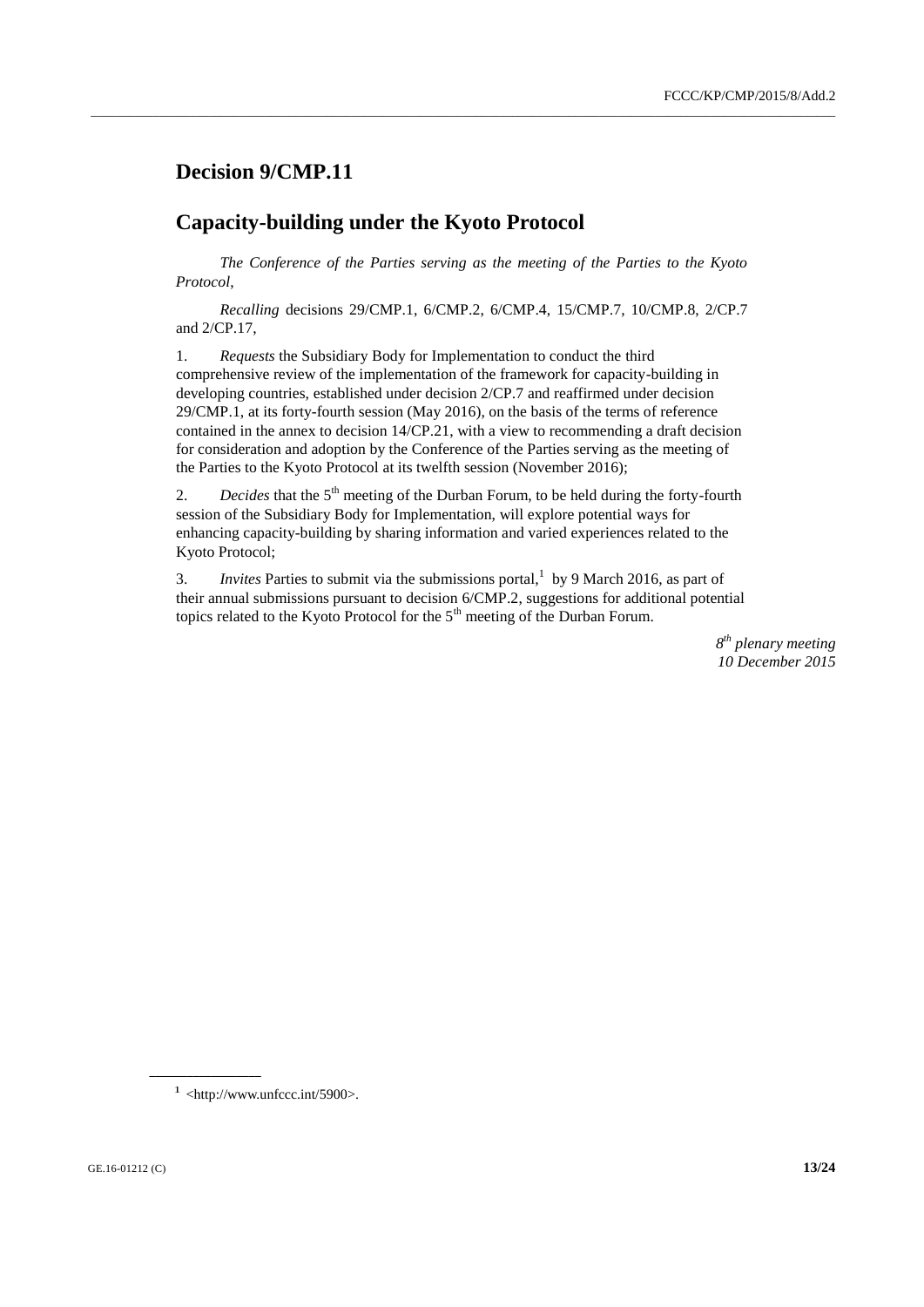### **Decision 9/CMP.11**

### **Capacity-building under the Kyoto Protocol**

*The Conference of the Parties serving as the meeting of the Parties to the Kyoto Protocol*,

\_\_\_\_\_\_\_\_\_\_\_\_\_\_\_\_\_\_\_\_\_\_\_\_\_\_\_\_\_\_\_\_\_\_\_\_\_\_\_\_\_\_\_\_\_\_\_\_\_\_\_\_\_\_\_\_\_\_\_\_\_\_\_\_\_\_\_\_\_\_\_\_\_\_\_\_\_\_\_\_\_\_\_\_\_\_\_\_\_\_\_\_\_\_\_\_\_\_\_\_\_\_\_\_\_\_\_\_\_\_\_\_\_\_\_\_\_\_\_\_

*Recalling* decisions 29/CMP.1, 6/CMP.2, 6/CMP.4, 15/CMP.7, 10/CMP.8, 2/CP.7 and 2/CP.17,

1. *Requests* the Subsidiary Body for Implementation to conduct the third comprehensive review of the implementation of the framework for capacity-building in developing countries, established under decision 2/CP.7 and reaffirmed under decision 29/CMP.1, at its forty-fourth session (May 2016), on the basis of the terms of reference contained in the annex to decision 14/CP.21, with a view to recommending a draft decision for consideration and adoption by the Conference of the Parties serving as the meeting of the Parties to the Kyoto Protocol at its twelfth session (November 2016);

2. *Decides* that the 5<sup>th</sup> meeting of the Durban Forum, to be held during the forty-fourth session of the Subsidiary Body for Implementation, will explore potential ways for enhancing capacity-building by sharing information and varied experiences related to the Kyoto Protocol;

3. *Invites* Parties to submit via the submissions portal, 1 by 9 March 2016, as part of their annual submissions pursuant to decision 6/CMP.2, suggestions for additional potential topics related to the Kyoto Protocol for the 5<sup>th</sup> meeting of the Durban Forum.

> *8 th plenary meeting 10 December 2015*

 $1$  <http://www.unfccc.int/5900>.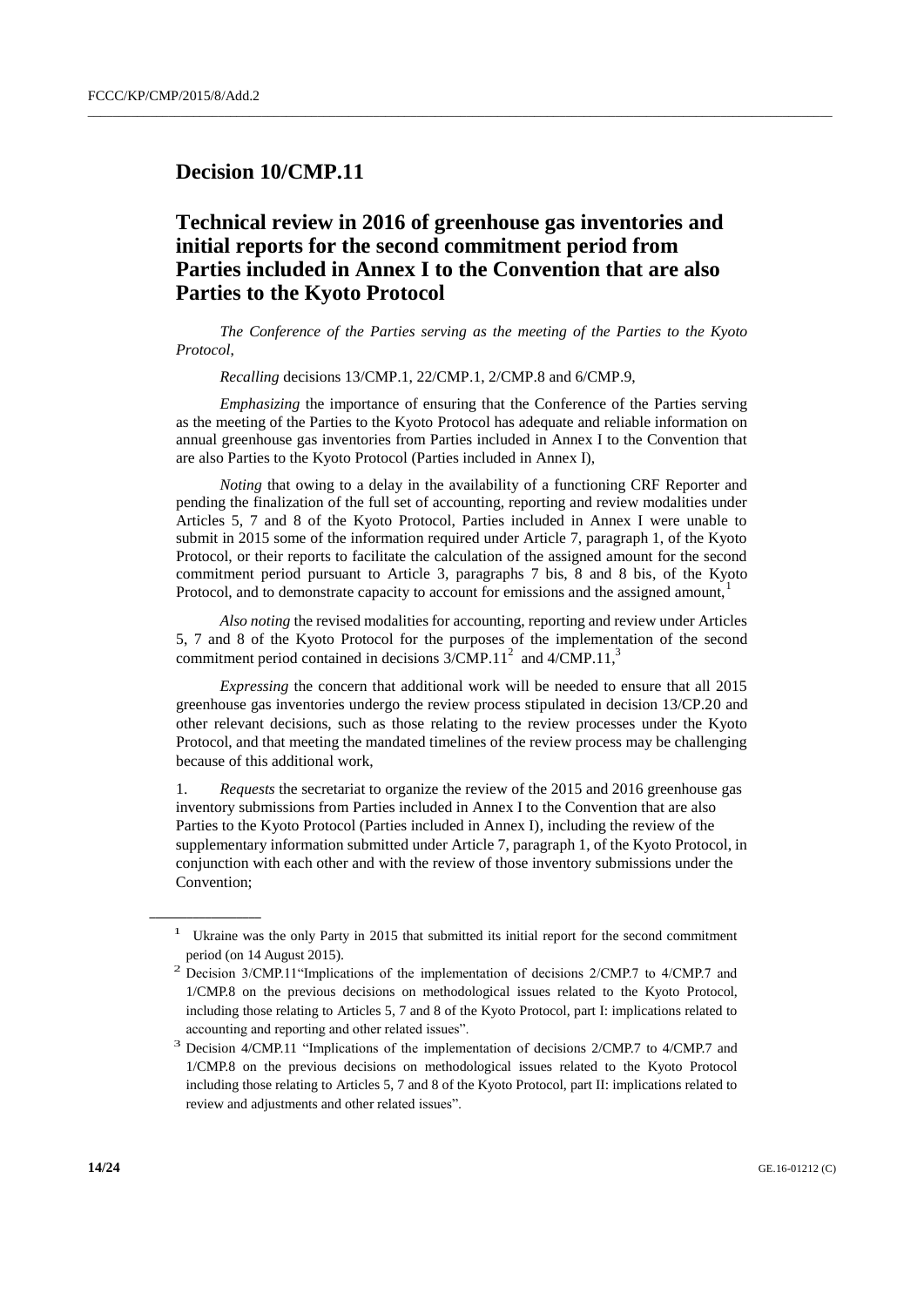#### **Decision 10/CMP.11**

## **Technical review in 2016 of greenhouse gas inventories and initial reports for the second commitment period from Parties included in Annex I to the Convention that are also Parties to the Kyoto Protocol**

 $\_$  , and the set of the set of the set of the set of the set of the set of the set of the set of the set of the set of the set of the set of the set of the set of the set of the set of the set of the set of the set of th

*The Conference of the Parties serving as the meeting of the Parties to the Kyoto Protocol*,

*Recalling* decisions 13/CMP.1, 22/CMP.1, 2/CMP.8 and 6/CMP.9,

*Emphasizing* the importance of ensuring that the Conference of the Parties serving as the meeting of the Parties to the Kyoto Protocol has adequate and reliable information on annual greenhouse gas inventories from Parties included in Annex I to the Convention that are also Parties to the Kyoto Protocol (Parties included in Annex I),

*Noting* that owing to a delay in the availability of a functioning CRF Reporter and pending the finalization of the full set of accounting, reporting and review modalities under Articles 5, 7 and 8 of the Kyoto Protocol, Parties included in Annex I were unable to submit in 2015 some of the information required under Article 7, paragraph 1, of the Kyoto Protocol, or their reports to facilitate the calculation of the assigned amount for the second commitment period pursuant to Article 3, paragraphs 7 bis, 8 and 8 bis, of the Kyoto Protocol, and to demonstrate capacity to account for emissions and the assigned amount,

*Also noting* the revised modalities for accounting, reporting and review under Articles 5, 7 and 8 of the Kyoto Protocol for the purposes of the implementation of the second commitment period contained in decisions  $3/CMP.11^2$  and  $4/CMP.11^3$ 

*Expressing* the concern that additional work will be needed to ensure that all 2015 greenhouse gas inventories undergo the review process stipulated in decision 13/CP.20 and other relevant decisions, such as those relating to the review processes under the Kyoto Protocol, and that meeting the mandated timelines of the review process may be challenging because of this additional work,

1. *Requests* the secretariat to organize the review of the 2015 and 2016 greenhouse gas inventory submissions from Parties included in Annex I to the Convention that are also Parties to the Kyoto Protocol (Parties included in Annex I), including the review of the supplementary information submitted under Article 7, paragraph 1, of the Kyoto Protocol, in conjunction with each other and with the review of those inventory submissions under the Convention;

<sup>&</sup>lt;sup>1</sup> Ukraine was the only Party in 2015 that submitted its initial report for the second commitment period (on 14 August 2015).

<sup>2</sup> Decision 3/CMP.11"Implications of the implementation of decisions 2/CMP.7 to 4/CMP.7 and 1/CMP.8 on the previous decisions on methodological issues related to the Kyoto Protocol, including those relating to Articles 5, 7 and 8 of the Kyoto Protocol, part I: implications related to accounting and reporting and other related issues".

<sup>3</sup> Decision 4/CMP.11 "Implications of the implementation of decisions 2/CMP.7 to 4/CMP.7 and 1/CMP.8 on the previous decisions on methodological issues related to the Kyoto Protocol including those relating to Articles 5, 7 and 8 of the Kyoto Protocol, part II: implications related to review and adjustments and other related issues".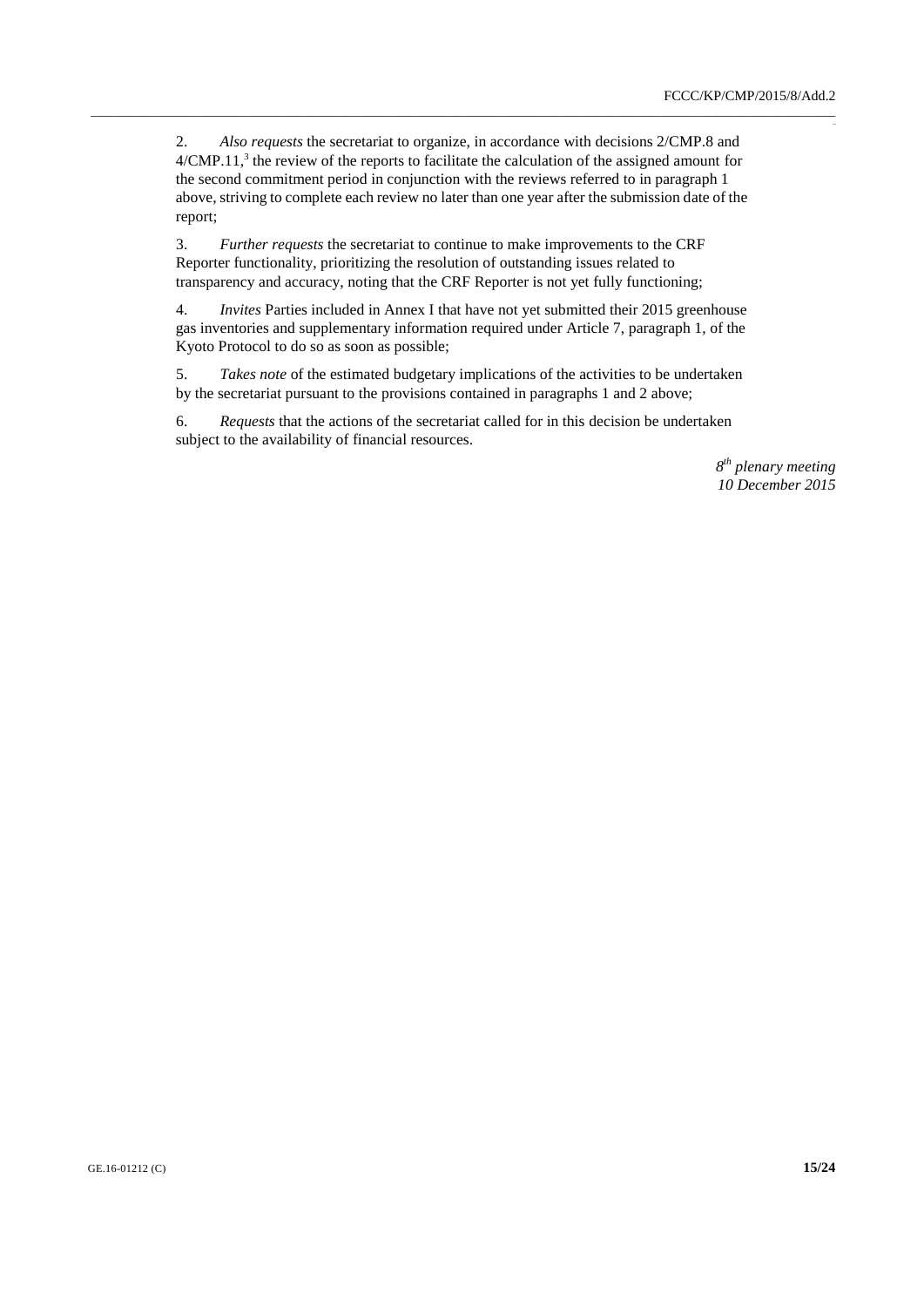$\overline{a}$ 

2. *Also requests* the secretariat to organize, in accordance with decisions 2/CMP.8 and  $4/CMP.11$ ,<sup>3</sup> the review of the reports to facilitate the calculation of the assigned amount for the second commitment period in conjunction with the reviews referred to in paragraph 1 above, striving to complete each review no later than one year after the submission date of the report;

\_\_\_\_\_\_\_\_\_\_\_\_\_\_\_\_\_\_\_\_\_\_\_\_\_\_\_\_\_\_\_\_\_\_\_\_\_\_\_\_\_\_\_\_\_\_\_\_\_\_\_\_\_\_\_\_\_\_\_\_\_\_\_\_\_\_\_\_\_\_\_\_\_\_\_\_\_\_\_\_\_\_\_\_\_\_\_\_\_\_\_\_\_\_\_\_\_\_\_\_\_\_\_\_\_\_\_\_\_\_\_\_\_\_\_\_\_\_\_\_

3. *Further requests* the secretariat to continue to make improvements to the CRF Reporter functionality, prioritizing the resolution of outstanding issues related to transparency and accuracy, noting that the CRF Reporter is not yet fully functioning;

4. *Invites* Parties included in Annex I that have not yet submitted their 2015 greenhouse gas inventories and supplementary information required under Article 7, paragraph 1, of the Kyoto Protocol to do so as soon as possible;

5. *Takes note* of the estimated budgetary implications of the activities to be undertaken by the secretariat pursuant to the provisions contained in paragraphs 1 and 2 above;

6. *Requests* that the actions of the secretariat called for in this decision be undertaken subject to the availability of financial resources.

> *8 th plenary meeting 10 December 2015*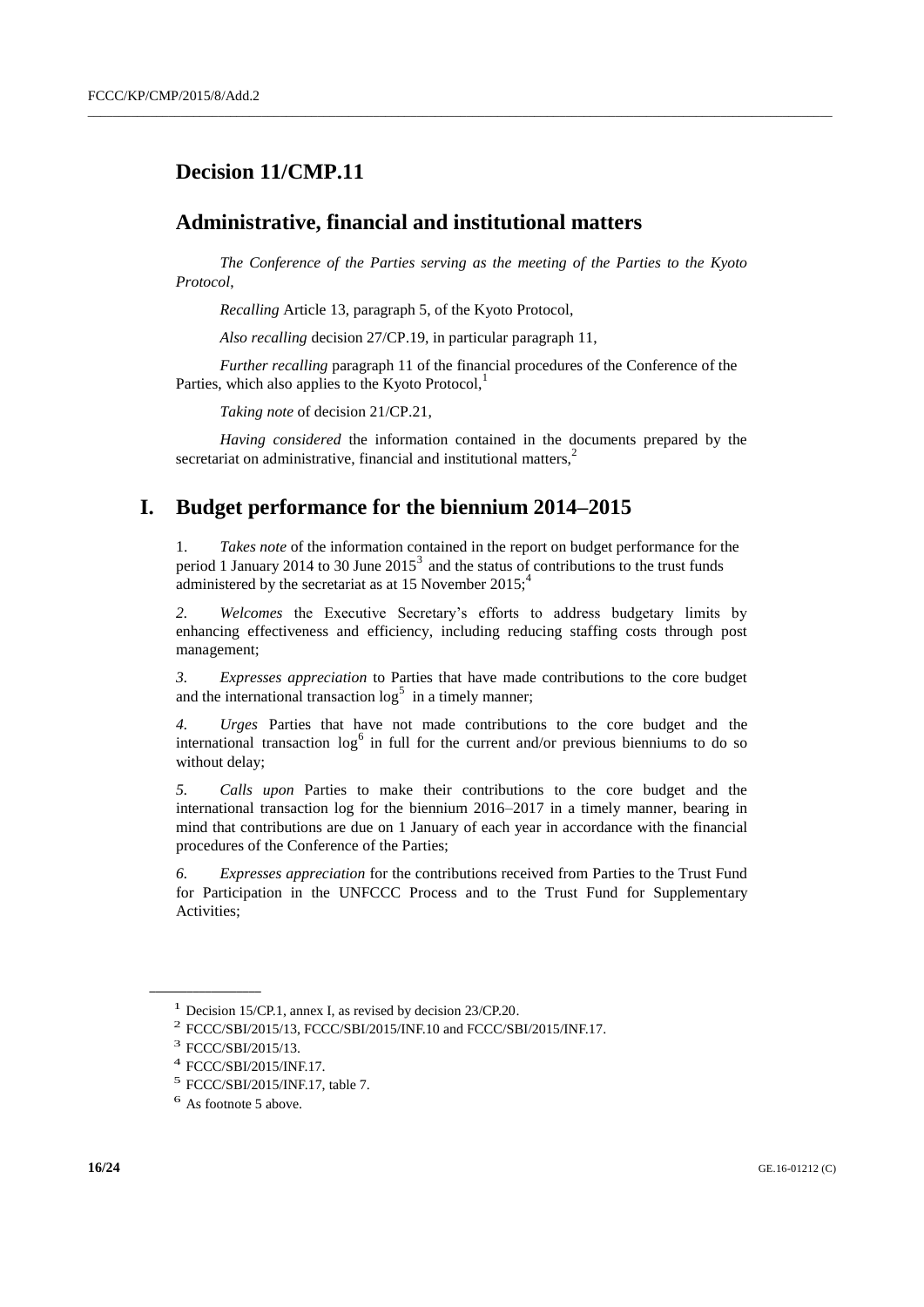## **Decision 11/CMP.11**

#### **Administrative, financial and institutional matters**

*The Conference of the Parties serving as the meeting of the Parties to the Kyoto Protocol*,

 $\_$  , and the set of the set of the set of the set of the set of the set of the set of the set of the set of the set of the set of the set of the set of the set of the set of the set of the set of the set of the set of th

*Recalling* Article 13, paragraph 5, of the Kyoto Protocol,

*Also recalling* decision 27/CP.19, in particular paragraph 11,

*Further recalling* paragraph 11 of the financial procedures of the Conference of the Parties, which also applies to the Kyoto Protocol, $<sup>1</sup>$ </sup>

*Taking note* of decision 21/CP.21,

*Having considered* the information contained in the documents prepared by the secretariat on administrative, financial and institutional matters. $<sup>2</sup>$ </sup>

### **I. Budget performance for the biennium 2014–2015**

Takes note of the information contained in the report on budget performance for the period 1 January 2014 to 30 June  $2015<sup>3</sup>$  and the status of contributions to the trust funds administered by the secretariat as at 15 November  $2015$ ;<sup>4</sup>

*2. Welcomes* the Executive Secretary's efforts to address budgetary limits by enhancing effectiveness and efficiency, including reducing staffing costs through post management;

*3. Expresses appreciation* to Parties that have made contributions to the core budget and the international transaction  $\log^5$  in a timely manner;

*4. Urges* Parties that have not made contributions to the core budget and the international transaction  $\log^6$  in full for the current and/or previous bienniums to do so without delay;

*5. Calls upon* Parties to make their contributions to the core budget and the international transaction log for the biennium 2016–2017 in a timely manner, bearing in mind that contributions are due on 1 January of each year in accordance with the financial procedures of the Conference of the Parties;

*6. Expresses appreciation* for the contributions received from Parties to the Trust Fund for Participation in the UNFCCC Process and to the Trust Fund for Supplementary Activities;

<sup>&</sup>lt;sup>1</sup> Decision 15/CP.1, annex I, as revised by decision 23/CP.20.

<sup>2</sup> FCCC/SBI/2015/13, FCCC/SBI/2015/INF.10 and FCCC/SBI/2015/INF.17.

<sup>&</sup>lt;sup>3</sup> FCCC/SBI/2015/13.

<sup>4</sup> FCCC/SBI/2015/INF.17.

<sup>5</sup> FCCC/SBI/2015/INF.17, table 7.

<sup>6</sup> As footnote 5 above.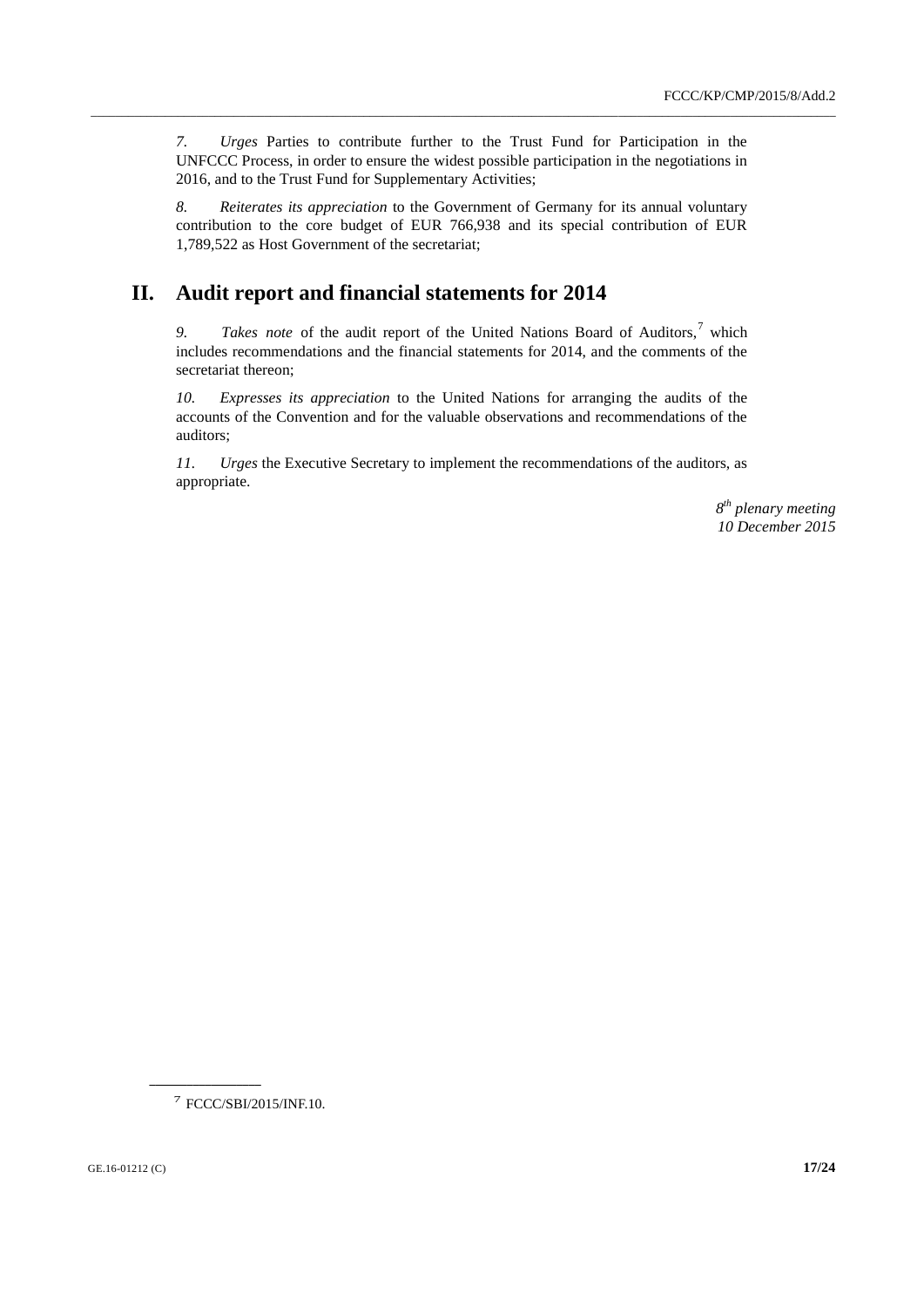*7. Urges* Parties to contribute further to the Trust Fund for Participation in the UNFCCC Process, in order to ensure the widest possible participation in the negotiations in 2016, and to the Trust Fund for Supplementary Activities;

\_\_\_\_\_\_\_\_\_\_\_\_\_\_\_\_\_\_\_\_\_\_\_\_\_\_\_\_\_\_\_\_\_\_\_\_\_\_\_\_\_\_\_\_\_\_\_\_\_\_\_\_\_\_\_\_\_\_\_\_\_\_\_\_\_\_\_\_\_\_\_\_\_\_\_\_\_\_\_\_\_\_\_\_\_\_\_\_\_\_\_\_\_\_\_\_\_\_\_\_\_\_\_\_\_\_\_\_\_\_\_\_\_\_\_\_\_\_\_\_

*8. Reiterates its appreciation* to the Government of Germany for its annual voluntary contribution to the core budget of EUR 766,938 and its special contribution of EUR 1,789,522 as Host Government of the secretariat;

## **II. Audit report and financial statements for 2014**

9. *Takes note* of the audit report of the United Nations Board of Auditors,<sup>7</sup> which includes recommendations and the financial statements for 2014, and the comments of the secretariat thereon;

*10. Expresses its appreciation* to the United Nations for arranging the audits of the accounts of the Convention and for the valuable observations and recommendations of the auditors;

*11. Urges* the Executive Secretary to implement the recommendations of the auditors, as appropriate.

> *8 th plenary meeting 10 December 2015*

7 FCCC/SBI/2015/INF.10.

**\_\_\_\_\_\_\_\_\_\_\_\_\_\_\_\_\_\_**

GE.16-01212 (C) **17/24**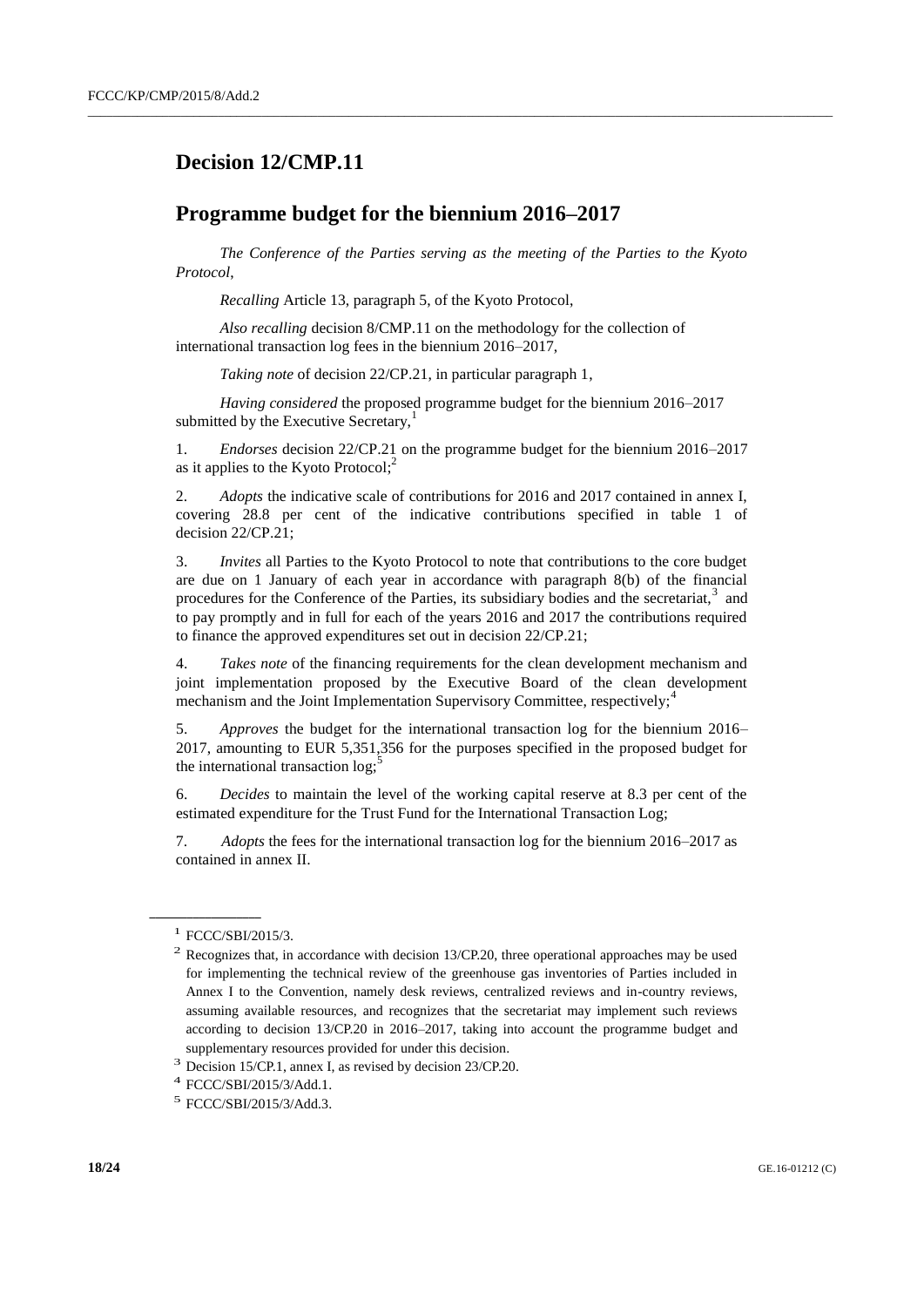## **Decision 12/CMP.11**

### **Programme budget for the biennium 2016–2017**

*The Conference of the Parties serving as the meeting of the Parties to the Kyoto Protocol*,

 $\_$  , and the set of the set of the set of the set of the set of the set of the set of the set of the set of the set of the set of the set of the set of the set of the set of the set of the set of the set of the set of th

*Recalling* Article 13, paragraph 5, of the Kyoto Protocol,

*Also recalling* decision 8/CMP.11 on the methodology for the collection of international transaction log fees in the biennium 2016–2017,

*Taking note* of decision 22/CP.21, in particular paragraph 1,

*Having considered* the proposed programme budget for the biennium 2016–2017 submitted by the Executive Secretary,<sup>1</sup>

1. *Endorses* decision 22/CP.21 on the programme budget for the biennium 2016–2017 as it applies to the Kyoto Protocol;<sup>2</sup>

2. *Adopts* the indicative scale of contributions for 2016 and 2017 contained in annex I, covering 28.8 per cent of the indicative contributions specified in table 1 of decision 22/CP.21;

3. *Invites* all Parties to the Kyoto Protocol to note that contributions to the core budget are due on 1 January of each year in accordance with paragraph 8(b) of the financial procedures for the Conference of the Parties, its subsidiary bodies and the secretariat,<sup>3</sup> and to pay promptly and in full for each of the years 2016 and 2017 the contributions required to finance the approved expenditures set out in decision 22/CP.21;

4. *Takes note* of the financing requirements for the clean development mechanism and joint implementation proposed by the Executive Board of the clean development mechanism and the Joint Implementation Supervisory Committee, respectively;<sup>4</sup>

5. *Approves* the budget for the international transaction log for the biennium 2016– 2017, amounting to EUR 5,351,356 for the purposes specified in the proposed budget for the international transaction log;

6. *Decides* to maintain the level of the working capital reserve at 8.3 per cent of the estimated expenditure for the Trust Fund for the International Transaction Log;

7. *Adopts* the fees for the international transaction log for the biennium 2016–2017 as contained in annex II.

<sup>&</sup>lt;sup>1</sup> FCCC/SBI/2015/3.

 $2$  Recognizes that, in accordance with decision 13/CP.20, three operational approaches may be used for implementing the technical review of the greenhouse gas inventories of Parties included in Annex I to the Convention, namely desk reviews, centralized reviews and in-country reviews, assuming available resources, and recognizes that the secretariat may implement such reviews according to decision 13/CP.20 in 2016–2017, taking into account the programme budget and supplementary resources provided for under this decision.

<sup>&</sup>lt;sup>3</sup> Decision 15/CP.1, annex I, as revised by decision 23/CP.20.

<sup>4</sup> FCCC/SBI/2015/3/Add.1.

<sup>5</sup> FCCC/SBI/2015/3/Add.3.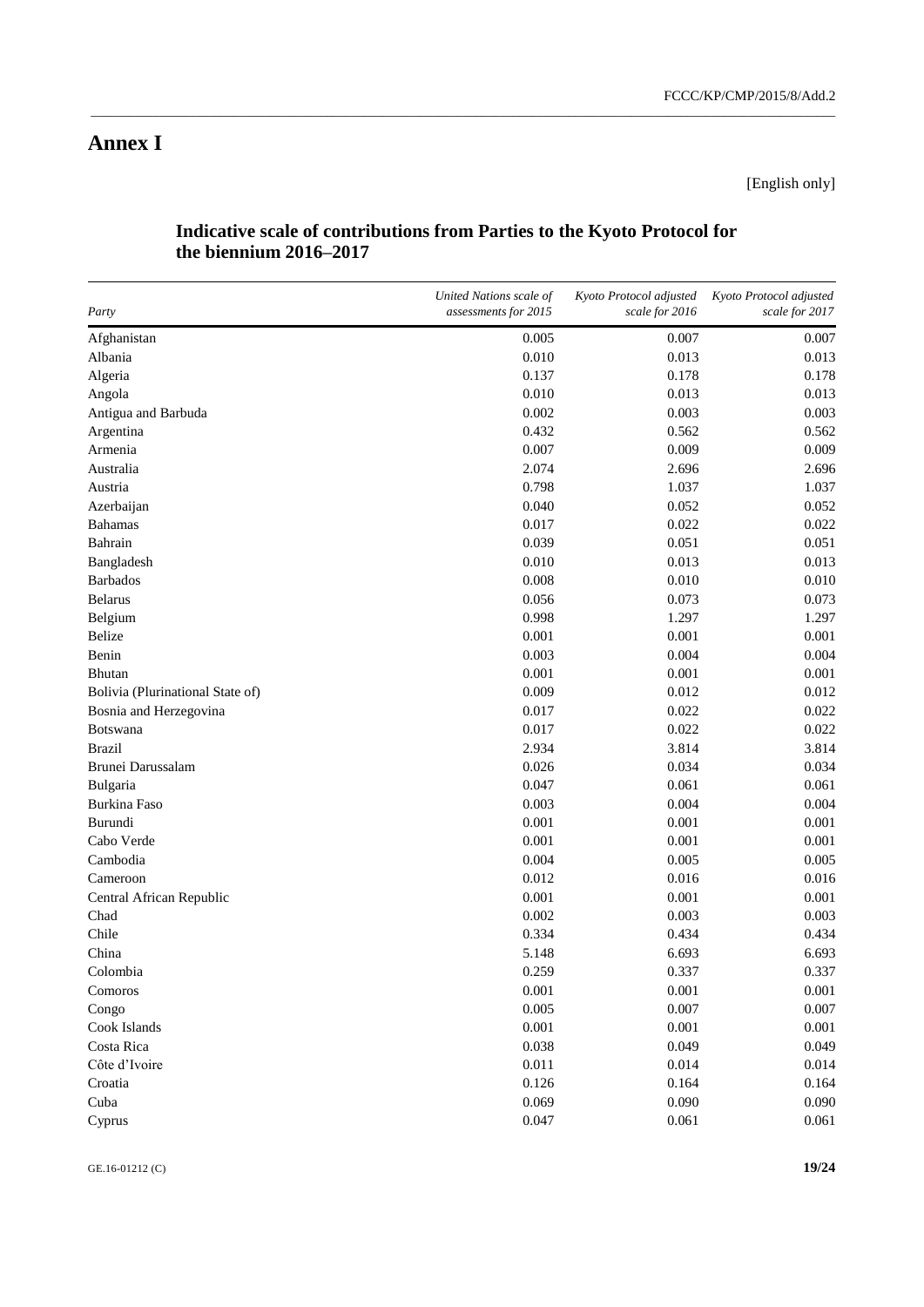[English only]

#### **Indicative scale of contributions from Parties to the Kyoto Protocol for the biennium 2016–2017**

\_\_\_\_\_\_\_\_\_\_\_\_\_\_\_\_\_\_\_\_\_\_\_\_\_\_\_\_\_\_\_\_\_\_\_\_\_\_\_\_\_\_\_\_\_\_\_\_\_\_\_\_\_\_\_\_\_\_\_\_\_\_\_\_\_\_\_\_\_\_\_\_\_\_\_\_\_\_\_\_\_\_\_\_\_\_\_\_\_\_\_\_\_\_\_\_\_\_\_\_\_\_\_\_\_\_\_\_\_\_\_\_\_\_\_\_\_\_\_\_

| Party                            | United Nations scale of<br>assessments for 2015 | Kyoto Protocol adjusted<br>scale for 2016 | Kyoto Protocol adjusted<br>scale for 2017 |
|----------------------------------|-------------------------------------------------|-------------------------------------------|-------------------------------------------|
| Afghanistan                      | 0.005                                           | 0.007                                     | 0.007                                     |
| Albania                          | 0.010                                           | 0.013                                     | 0.013                                     |
| Algeria                          | 0.137                                           | 0.178                                     | 0.178                                     |
| Angola                           | 0.010                                           | 0.013                                     | 0.013                                     |
| Antigua and Barbuda              | 0.002                                           | 0.003                                     | 0.003                                     |
| Argentina                        | 0.432                                           | 0.562                                     | 0.562                                     |
| Armenia                          | 0.007                                           | 0.009                                     | 0.009                                     |
| Australia                        | 2.074                                           | 2.696                                     | 2.696                                     |
| Austria                          | 0.798                                           | 1.037                                     | 1.037                                     |
| Azerbaijan                       | 0.040                                           | 0.052                                     | 0.052                                     |
| <b>Bahamas</b>                   | 0.017                                           | 0.022                                     | 0.022                                     |
| Bahrain                          | 0.039                                           | 0.051                                     | 0.051                                     |
| Bangladesh                       | 0.010                                           | 0.013                                     | 0.013                                     |
| <b>Barbados</b>                  | 0.008                                           | 0.010                                     | 0.010                                     |
| <b>Belarus</b>                   | 0.056                                           | 0.073                                     | 0.073                                     |
| Belgium                          | 0.998                                           | 1.297                                     | 1.297                                     |
| <b>Belize</b>                    | 0.001                                           | 0.001                                     | 0.001                                     |
| Benin                            | 0.003                                           | 0.004                                     | 0.004                                     |
| Bhutan                           | 0.001                                           | 0.001                                     | 0.001                                     |
| Bolivia (Plurinational State of) | 0.009                                           | 0.012                                     | 0.012                                     |
| Bosnia and Herzegovina           | 0.017                                           | 0.022                                     | 0.022                                     |
| Botswana                         | 0.017                                           | 0.022                                     | 0.022                                     |
| <b>Brazil</b>                    | 2.934                                           | 3.814                                     | 3.814                                     |
| Brunei Darussalam                | 0.026                                           | 0.034                                     | 0.034                                     |
| Bulgaria                         | 0.047                                           | 0.061                                     | 0.061                                     |
| <b>Burkina Faso</b>              | 0.003                                           | 0.004                                     | 0.004                                     |
| Burundi                          | 0.001                                           | 0.001                                     | 0.001                                     |
| Cabo Verde                       | 0.001                                           | 0.001                                     | 0.001                                     |
| Cambodia                         | 0.004                                           | 0.005                                     | 0.005                                     |
| Cameroon                         | 0.012                                           | 0.016                                     | 0.016                                     |
| Central African Republic         | 0.001                                           | 0.001                                     | 0.001                                     |
| Chad                             | 0.002                                           | 0.003                                     | 0.003                                     |
| Chile                            | 0.334                                           | 0.434                                     | 0.434                                     |
| China                            | 5.148                                           | 6.693                                     | 6.693                                     |
| Colombia                         | 0.259                                           | 0.337                                     | 0.337                                     |
| Comoros                          | 0.001                                           | 0.001                                     | 0.001                                     |
| Congo                            | 0.005                                           | 0.007                                     | 0.007                                     |
| Cook Islands                     | 0.001                                           | 0.001                                     | 0.001                                     |
| Costa Rica                       | 0.038                                           | 0.049                                     | 0.049                                     |
| Côte d'Ivoire                    | 0.011                                           | 0.014                                     | 0.014                                     |
| Croatia                          | 0.126                                           | 0.164                                     | 0.164                                     |
| Cuba                             | 0.069                                           | 0.090                                     | 0.090                                     |
| Cyprus                           | 0.047                                           | 0.061                                     | 0.061                                     |

GE.16-01212 (C) **19/24**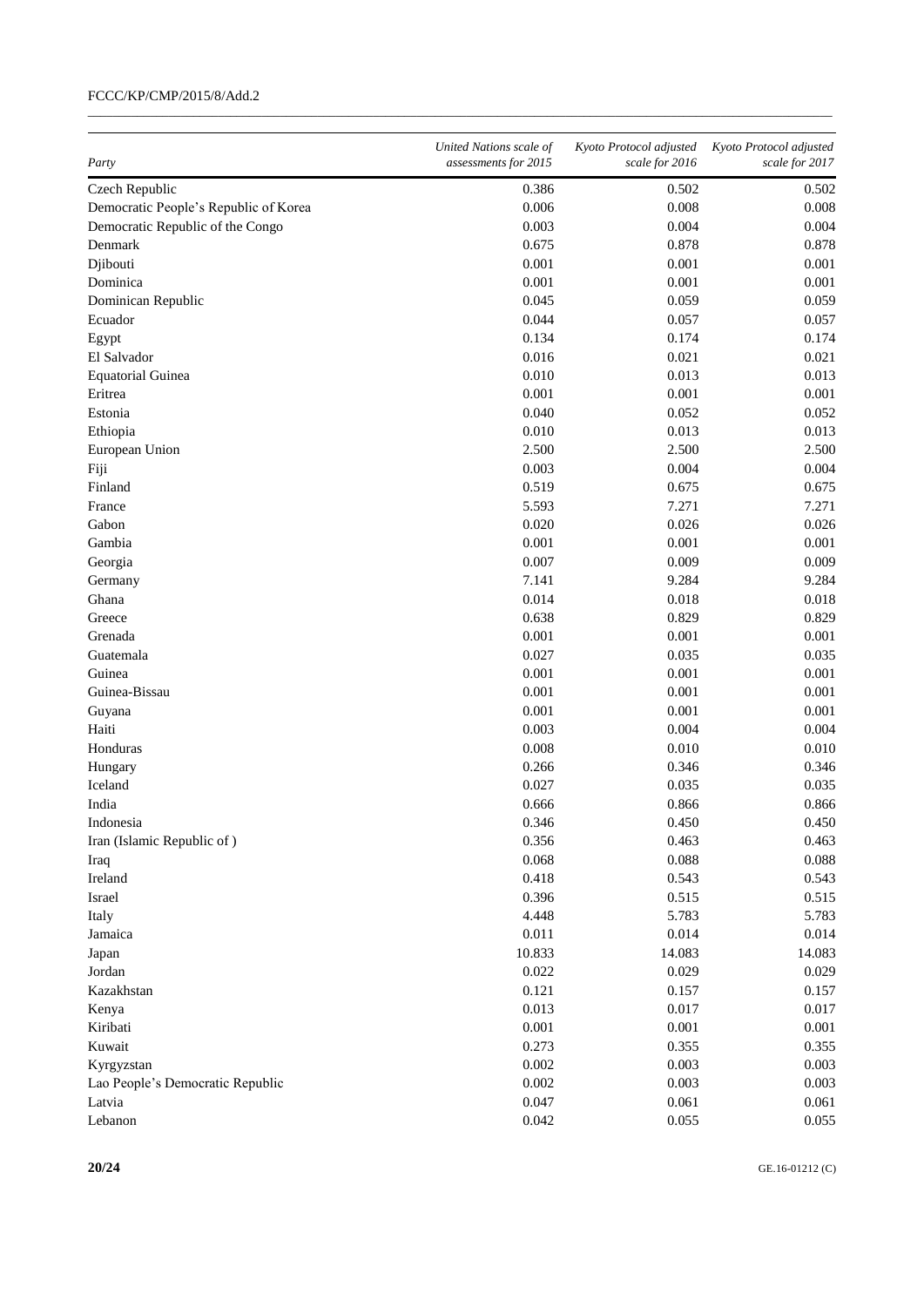| Party                                 | United Nations scale of<br>assessments for 2015 | Kyoto Protocol adjusted<br>scale for 2016 | Kyoto Protocol adjusted<br>scale for 2017 |
|---------------------------------------|-------------------------------------------------|-------------------------------------------|-------------------------------------------|
| Czech Republic                        | 0.386                                           | 0.502                                     | 0.502                                     |
| Democratic People's Republic of Korea | 0.006                                           | 0.008                                     | 0.008                                     |
| Democratic Republic of the Congo      | 0.003                                           | 0.004                                     | 0.004                                     |
| Denmark                               | 0.675                                           | 0.878                                     | 0.878                                     |
| Djibouti                              | 0.001                                           | 0.001                                     | 0.001                                     |
| Dominica                              | 0.001                                           | 0.001                                     | 0.001                                     |
| Dominican Republic                    | 0.045                                           | 0.059                                     | 0.059                                     |
| Ecuador                               | 0.044                                           | 0.057                                     | 0.057                                     |
| Egypt                                 | 0.134                                           | 0.174                                     | 0.174                                     |
| El Salvador                           | 0.016                                           | 0.021                                     | 0.021                                     |
| <b>Equatorial Guinea</b>              | 0.010                                           | 0.013                                     | 0.013                                     |
| Eritrea                               | 0.001                                           | 0.001                                     |                                           |
|                                       |                                                 |                                           | 0.001                                     |
| Estonia                               | 0.040                                           | 0.052                                     | 0.052                                     |
| Ethiopia                              | 0.010                                           | 0.013                                     | 0.013                                     |
| European Union                        | 2.500                                           | 2.500                                     | 2.500                                     |
| Fiji                                  | 0.003                                           | 0.004                                     | 0.004                                     |
| Finland                               | 0.519                                           | 0.675                                     | 0.675                                     |
| France                                | 5.593                                           | 7.271                                     | 7.271                                     |
| Gabon                                 | 0.020                                           | 0.026                                     | 0.026                                     |
| Gambia                                | 0.001                                           | 0.001                                     | 0.001                                     |
| Georgia                               | 0.007                                           | 0.009                                     | 0.009                                     |
| Germany                               | 7.141                                           | 9.284                                     | 9.284                                     |
| Ghana                                 | 0.014                                           | 0.018                                     | 0.018                                     |
| Greece                                | 0.638                                           | 0.829                                     | 0.829                                     |
| Grenada                               | 0.001                                           | 0.001                                     | 0.001                                     |
| Guatemala                             | 0.027                                           | 0.035                                     | 0.035                                     |
| Guinea                                | 0.001                                           | 0.001                                     | 0.001                                     |
| Guinea-Bissau                         | 0.001                                           | 0.001                                     | 0.001                                     |
| Guyana                                | 0.001                                           | 0.001                                     | 0.001                                     |
| Haiti                                 | 0.003                                           | 0.004                                     | 0.004                                     |
| Honduras                              | 0.008                                           | 0.010                                     | 0.010                                     |
| Hungary                               | 0.266                                           | 0.346                                     | 0.346                                     |
| Iceland                               | 0.027                                           | 0.035                                     | 0.035                                     |
| India                                 | 0.666                                           | 0.866                                     | 0.866                                     |
| Indonesia                             | 0.346                                           | 0.450                                     | 0.450                                     |
| Iran (Islamic Republic of)            | 0.356                                           | 0.463                                     | 0.463                                     |
| Iraq                                  | 0.068                                           | 0.088                                     | 0.088                                     |
| Ireland                               | 0.418                                           | 0.543                                     | 0.543                                     |
| Israel                                | 0.396                                           | 0.515                                     | 0.515                                     |
| Italy                                 | 4.448                                           | 5.783                                     | 5.783                                     |
| Jamaica                               | 0.011                                           | 0.014                                     | 0.014                                     |
| Japan                                 | 10.833                                          | 14.083                                    | 14.083                                    |
| Jordan                                | 0.022                                           | 0.029                                     | 0.029                                     |
|                                       |                                                 |                                           |                                           |
| Kazakhstan                            | 0.121<br>0.013                                  | 0.157                                     | 0.157                                     |
| Kenya                                 |                                                 | 0.017                                     | 0.017                                     |
| Kiribati                              | 0.001                                           | 0.001                                     | 0.001                                     |
| Kuwait                                | 0.273                                           | 0.355                                     | 0.355                                     |
| Kyrgyzstan                            | 0.002                                           | 0.003                                     | 0.003                                     |
| Lao People's Democratic Republic      | 0.002                                           | 0.003                                     | 0.003                                     |
| Latvia                                | 0.047                                           | 0.061                                     | 0.061                                     |
| Lebanon                               | 0.042                                           | 0.055                                     | 0.055                                     |

 $\_$  , and the set of the set of the set of the set of the set of the set of the set of the set of the set of the set of the set of the set of the set of the set of the set of the set of the set of the set of the set of th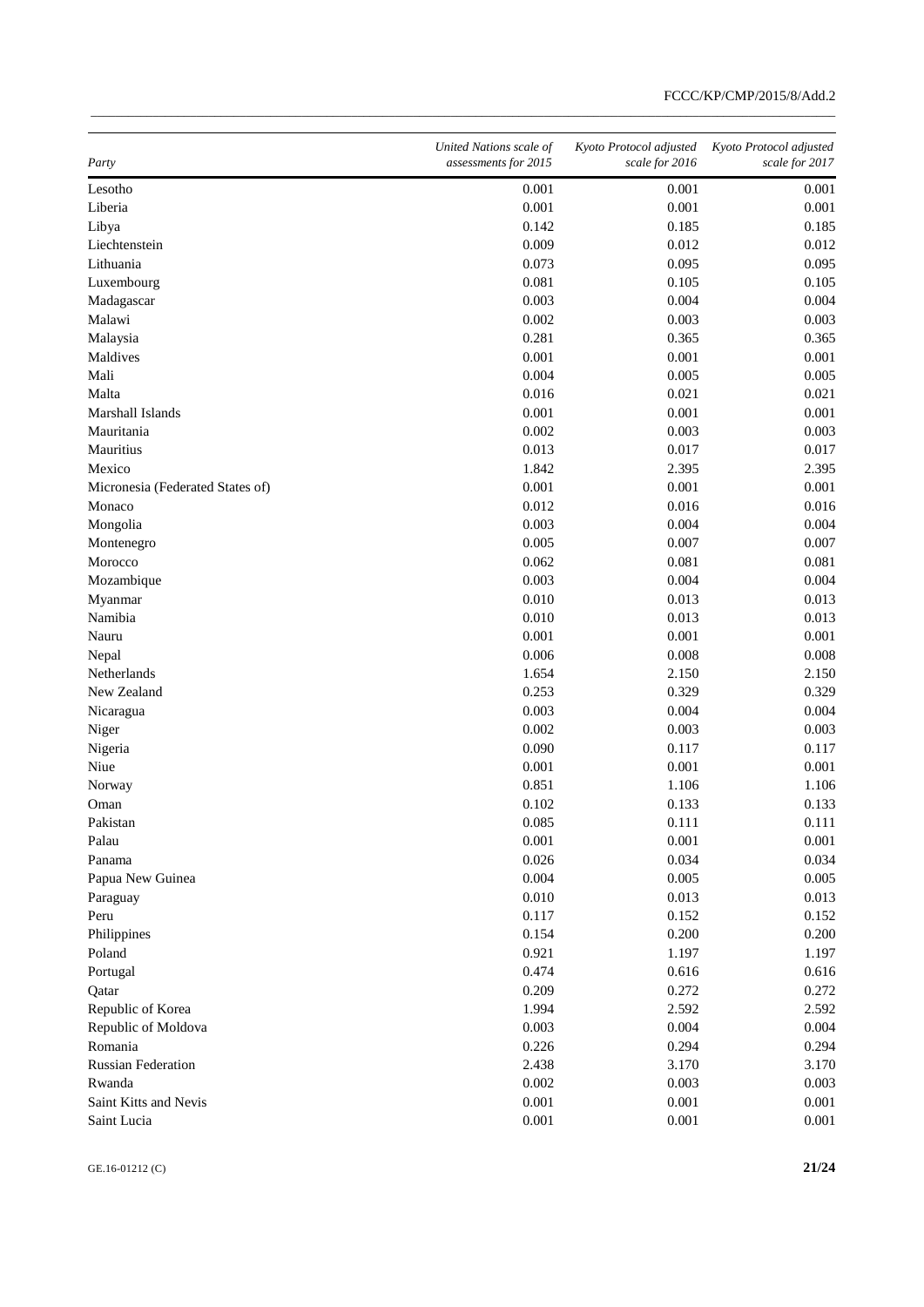| Party                            | United Nations scale of<br>assessments for 2015 | Kyoto Protocol adjusted<br>scale for 2016 | Kyoto Protocol adjusted<br>scale for 2017 |
|----------------------------------|-------------------------------------------------|-------------------------------------------|-------------------------------------------|
| Lesotho                          | 0.001                                           | 0.001                                     | 0.001                                     |
| Liberia                          | 0.001                                           | 0.001                                     | 0.001                                     |
| Libya                            | 0.142                                           | 0.185                                     | 0.185                                     |
| Liechtenstein                    | 0.009                                           | 0.012                                     | 0.012                                     |
| Lithuania                        | 0.073                                           | 0.095                                     | 0.095                                     |
| Luxembourg                       | 0.081                                           | 0.105                                     | 0.105                                     |
| Madagascar                       | 0.003                                           | 0.004                                     | 0.004                                     |
| Malawi                           | 0.002                                           | 0.003                                     | 0.003                                     |
| Malaysia                         | 0.281                                           | 0.365                                     | 0.365                                     |
| Maldives                         | 0.001                                           | 0.001                                     | 0.001                                     |
| Mali                             | 0.004                                           | 0.005                                     | 0.005                                     |
| Malta                            | 0.016                                           | 0.021                                     | 0.021                                     |
| Marshall Islands                 | 0.001                                           | 0.001                                     | 0.001                                     |
| Mauritania                       | 0.002                                           | 0.003                                     | 0.003                                     |
| Mauritius                        | 0.013                                           | 0.017                                     | 0.017                                     |
| Mexico                           | 1.842                                           | 2.395                                     | 2.395                                     |
| Micronesia (Federated States of) | 0.001                                           | 0.001                                     | 0.001                                     |
| Monaco                           | 0.012                                           | 0.016                                     | 0.016                                     |
| Mongolia                         | 0.003                                           | 0.004                                     | 0.004                                     |
| Montenegro                       | 0.005                                           | 0.007                                     | 0.007                                     |
| Morocco                          | 0.062                                           | 0.081                                     | 0.081                                     |
| Mozambique                       | 0.003                                           | 0.004                                     | 0.004                                     |
| Myanmar                          | 0.010                                           | 0.013                                     | 0.013                                     |
| Namibia                          | 0.010                                           | 0.013                                     | 0.013                                     |
| Nauru                            | 0.001                                           | 0.001                                     | 0.001                                     |
| Nepal                            | 0.006                                           | 0.008                                     | 0.008                                     |
| Netherlands                      | 1.654                                           | 2.150                                     | 2.150                                     |
| New Zealand                      | 0.253                                           | 0.329                                     | 0.329                                     |
| Nicaragua                        | 0.003                                           | 0.004                                     | 0.004                                     |
| Niger                            | 0.002                                           | 0.003                                     | 0.003                                     |
| Nigeria                          | 0.090                                           | 0.117                                     | 0.117                                     |
| Niue                             | 0.001                                           | 0.001                                     | 0.001                                     |
| Norway                           | 0.851                                           | 1.106                                     | 1.106                                     |
| Oman                             | 0.102                                           | 0.133                                     | 0.133                                     |
| Pakistan                         | 0.085                                           | 0.111                                     | 0.111                                     |
| Palau                            | 0.001                                           | 0.001                                     | 0.001                                     |
| Panama                           | 0.026                                           | 0.034                                     | 0.034                                     |
| Papua New Guinea                 | 0.004                                           | 0.005                                     | 0.005                                     |
| Paraguay                         | 0.010                                           | 0.013                                     | 0.013                                     |
| Peru                             | 0.117                                           | 0.152                                     | 0.152                                     |
| Philippines                      | 0.154                                           | 0.200                                     | 0.200                                     |
| Poland                           | 0.921                                           | 1.197                                     | 1.197                                     |
| Portugal                         | 0.474                                           | 0.616                                     | 0.616                                     |
| Qatar                            | 0.209                                           | 0.272                                     | 0.272                                     |
| Republic of Korea                | 1.994                                           | 2.592                                     | 2.592                                     |
| Republic of Moldova              | 0.003                                           | 0.004                                     | 0.004                                     |
| Romania                          | 0.226                                           | 0.294                                     | 0.294                                     |
| <b>Russian Federation</b>        | 2.438                                           | 3.170                                     | 3.170                                     |
| Rwanda                           | 0.002                                           | 0.003                                     | 0.003                                     |
| Saint Kitts and Nevis            | 0.001                                           | 0.001                                     | 0.001                                     |
| Saint Lucia                      | 0.001                                           | 0.001                                     | 0.001                                     |

\_\_\_\_\_\_\_\_\_\_\_\_\_\_\_\_\_\_\_\_\_\_\_\_\_\_\_\_\_\_\_\_\_\_\_\_\_\_\_\_\_\_\_\_\_\_\_\_\_\_\_\_\_\_\_\_\_\_\_\_\_\_\_\_\_\_\_\_\_\_\_\_\_\_\_\_\_\_\_\_\_\_\_\_\_\_\_\_\_\_\_\_\_\_\_\_\_\_\_\_\_\_\_\_\_\_\_\_\_\_\_\_\_\_\_\_\_\_\_\_

GE.16-01212 (C) **21/24**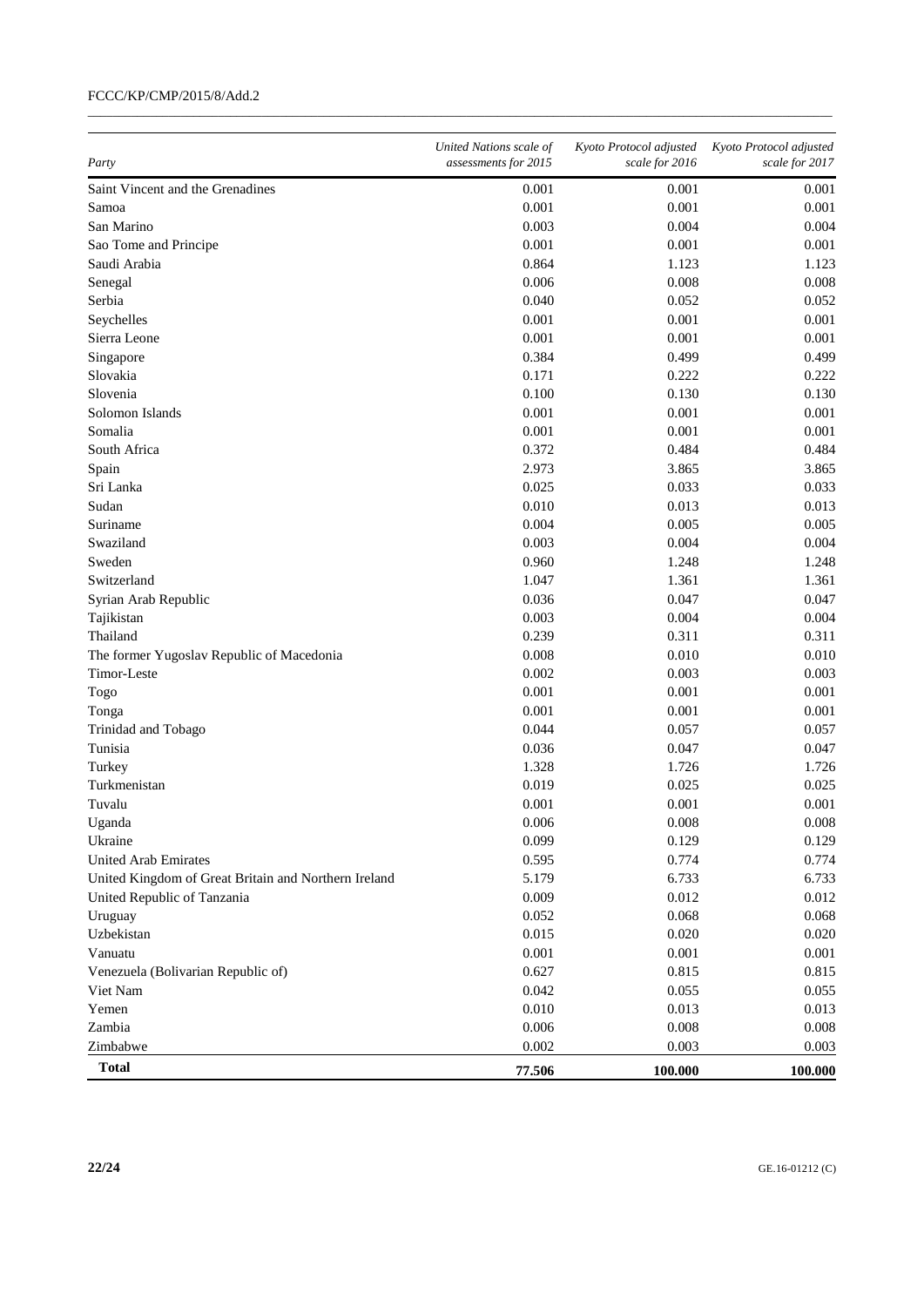| Party                                                | United Nations scale of<br>assessments for 2015 | Kyoto Protocol adjusted<br>scale for 2016 | Kyoto Protocol adjusted<br>scale for 2017 |
|------------------------------------------------------|-------------------------------------------------|-------------------------------------------|-------------------------------------------|
| Saint Vincent and the Grenadines                     | 0.001                                           | 0.001                                     | 0.001                                     |
| Samoa                                                | 0.001                                           | 0.001                                     | 0.001                                     |
| San Marino                                           | 0.003                                           | 0.004                                     | 0.004                                     |
| Sao Tome and Principe                                | 0.001                                           | 0.001                                     | 0.001                                     |
| Saudi Arabia                                         | 0.864                                           | 1.123                                     | 1.123                                     |
| Senegal                                              | 0.006                                           | 0.008                                     | 0.008                                     |
| Serbia                                               | 0.040                                           | 0.052                                     | 0.052                                     |
| Seychelles                                           | 0.001                                           | 0.001                                     | 0.001                                     |
| Sierra Leone                                         | 0.001                                           | 0.001                                     | 0.001                                     |
| Singapore                                            | 0.384                                           | 0.499                                     | 0.499                                     |
| Slovakia                                             | 0.171                                           | 0.222                                     | 0.222                                     |
| Slovenia                                             | 0.100                                           | 0.130                                     | 0.130                                     |
| Solomon Islands                                      | 0.001                                           | 0.001                                     | 0.001                                     |
| Somalia                                              | 0.001                                           | 0.001                                     | 0.001                                     |
| South Africa                                         | 0.372                                           | 0.484                                     | 0.484                                     |
| Spain                                                | 2.973                                           | 3.865                                     | 3.865                                     |
| Sri Lanka                                            | 0.025                                           | 0.033                                     | 0.033                                     |
| Sudan                                                | 0.010                                           | 0.013                                     | 0.013                                     |
| Suriname                                             | 0.004                                           | 0.005                                     | 0.005                                     |
| Swaziland                                            | 0.003                                           | 0.004                                     | 0.004                                     |
| Sweden                                               | 0.960                                           | 1.248                                     | 1.248                                     |
| Switzerland                                          | 1.047                                           | 1.361                                     | 1.361                                     |
| Syrian Arab Republic                                 | 0.036                                           | 0.047                                     | 0.047                                     |
| Tajikistan                                           | 0.003                                           | 0.004                                     | 0.004                                     |
| Thailand                                             | 0.239                                           | 0.311                                     | 0.311                                     |
| The former Yugoslav Republic of Macedonia            | 0.008                                           | 0.010                                     | 0.010                                     |
| Timor-Leste                                          | 0.002                                           | 0.003                                     | 0.003                                     |
| Togo                                                 | 0.001                                           | 0.001                                     | 0.001                                     |
| Tonga                                                | 0.001                                           | 0.001                                     | 0.001                                     |
| Trinidad and Tobago                                  | 0.044                                           | 0.057                                     | 0.057                                     |
| Tunisia                                              | 0.036                                           | 0.047                                     | 0.047                                     |
| Turkey                                               | 1.328                                           | 1.726                                     | 1.726                                     |
| Turkmenistan                                         | 0.019                                           | 0.025                                     | 0.025                                     |
| Tuvalu                                               | 0.001                                           | 0.001                                     | 0.001                                     |
| Uganda                                               | 0.006                                           | 0.008                                     | 0.008                                     |
| Ukraine                                              | 0.099                                           | 0.129                                     | 0.129                                     |
| United Arab Emirates                                 | 0.595                                           | 0.774                                     | 0.774                                     |
| United Kingdom of Great Britain and Northern Ireland | 5.179                                           | 6.733                                     | 6.733                                     |
| United Republic of Tanzania                          | 0.009                                           | 0.012                                     | 0.012                                     |
| Uruguay                                              | 0.052                                           | 0.068                                     | 0.068                                     |
| Uzbekistan                                           | 0.015                                           | 0.020                                     | 0.020                                     |
| Vanuatu                                              | 0.001                                           | 0.001                                     | 0.001                                     |
| Venezuela (Bolivarian Republic of)                   | 0.627                                           | 0.815                                     | 0.815                                     |
| Viet Nam                                             | 0.042                                           | 0.055                                     | 0.055                                     |
| Yemen                                                | 0.010                                           | 0.013                                     | 0.013                                     |
| Zambia                                               | 0.006                                           | 0.008                                     | 0.008                                     |
| Zimbabwe                                             | 0.002                                           | 0.003                                     | 0.003                                     |
| <b>Total</b>                                         | 77.506                                          | 100.000                                   | 100.000                                   |

 $\_$  , and the set of the set of the set of the set of the set of the set of the set of the set of the set of the set of the set of the set of the set of the set of the set of the set of the set of the set of the set of th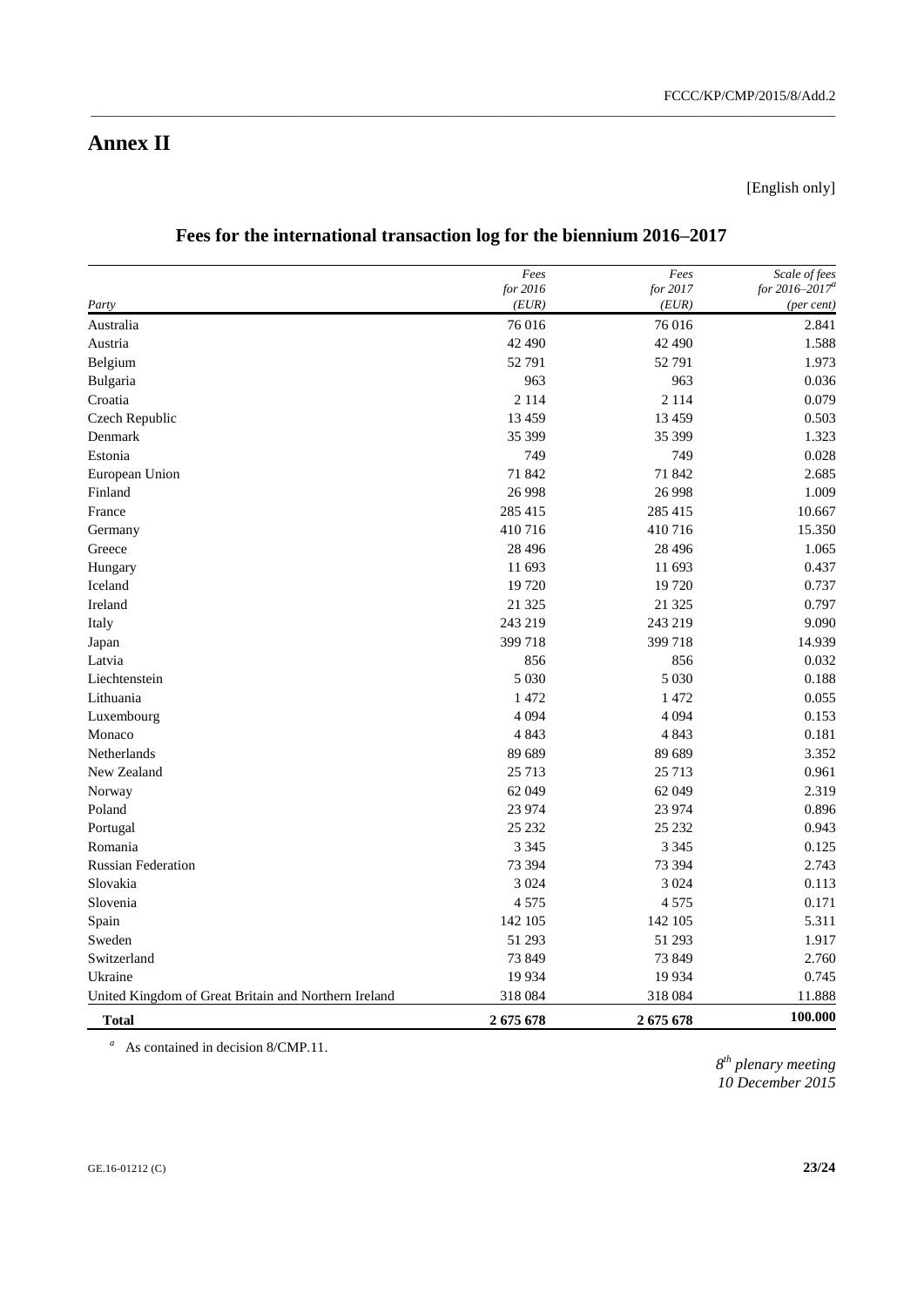[English only]

|                                                      | Fees     | Fees     | Scale of fees       |
|------------------------------------------------------|----------|----------|---------------------|
|                                                      | for 2016 | for 2017 | for $2016 - 2017^a$ |
| Party                                                | (EUR)    | (EUR)    | (per cent)          |
| Australia                                            | 76 016   | 76016    | 2.841               |
| Austria                                              | 42 490   | 42 490   | 1.588               |
| Belgium                                              | 52 791   | 52 791   | 1.973               |
| Bulgaria                                             | 963      | 963      | 0.036               |
| Croatia                                              | 2 1 1 4  | 2 1 1 4  | 0.079               |
| Czech Republic                                       | 13 4 5 9 | 13 4 5 9 | 0.503               |
| Denmark                                              | 35 399   | 35 399   | 1.323               |
| Estonia                                              | 749      | 749      | 0.028               |
| European Union                                       | 71 842   | 71 842   | 2.685               |
| Finland                                              | 26 9 98  | 26 9 98  | 1.009               |
| France                                               | 285 415  | 285 415  | 10.667              |
| Germany                                              | 410716   | 410716   | 15.350              |
| Greece                                               | 28 4 9 6 | 28 4 9 6 | 1.065               |
| Hungary                                              | 11 693   | 11 693   | 0.437               |
| Iceland                                              | 19 720   | 19720    | 0.737               |
| Ireland                                              | 21 3 25  | 21 3 25  | 0.797               |
| Italy                                                | 243 219  | 243 219  | 9.090               |
| Japan                                                | 399 718  | 399 718  | 14.939              |
| Latvia                                               | 856      | 856      | 0.032               |
| Liechtenstein                                        | 5 0 3 0  | 5 0 3 0  | 0.188               |
| Lithuania                                            | 1 472    | 1472     | 0.055               |
| Luxembourg                                           | 4 0 9 4  | 4 0 9 4  | 0.153               |
| Monaco                                               | 4 8 4 3  | 4 8 4 3  | 0.181               |
| <b>Netherlands</b>                                   | 89 689   | 89 689   | 3.352               |
| New Zealand                                          | 25 7 13  | 25 713   | 0.961               |
| Norway                                               | 62 049   | 62 049   | 2.319               |
| Poland                                               | 23 974   | 23 974   | 0.896               |
| Portugal                                             | 25 232   | 25 232   | 0.943               |
| Romania                                              | 3 3 4 5  | 3 3 4 5  | 0.125               |
| <b>Russian Federation</b>                            | 73 394   | 73 394   | 2.743               |
| Slovakia                                             | 3 0 2 4  | 3 0 2 4  | 0.113               |
| Slovenia                                             | 4 5 7 5  | 4575     | 0.171               |
| Spain                                                | 142 105  | 142 105  | 5.311               |
| Sweden                                               | 51 293   | 51 293   | 1.917               |
| Switzerland                                          | 73 849   | 73 849   | 2.760               |
| Ukraine                                              | 19 9 34  | 19 9 34  | 0.745               |
| United Kingdom of Great Britain and Northern Ireland | 318 084  | 318 084  | 11.888              |
| <b>Total</b>                                         | 2675678  | 2675678  | 100.000             |

### **Fees for the international transaction log for the biennium 2016–2017**

\_\_\_\_\_\_\_\_\_\_\_\_\_\_\_\_\_\_\_\_\_\_\_\_\_\_\_\_\_\_\_\_\_\_\_\_\_\_\_\_\_\_\_\_\_\_\_\_\_\_\_\_\_\_\_\_\_\_\_\_\_\_\_\_\_\_\_\_\_\_\_\_\_\_\_\_\_\_\_\_\_\_\_\_\_\_\_\_\_\_\_\_\_\_\_\_\_\_\_\_\_\_\_\_\_\_\_\_\_\_\_\_\_\_\_\_\_\_\_\_

*<sup>a</sup>* As contained in decision 8/CMP.11.

*8 th plenary meeting 10 December 2015*